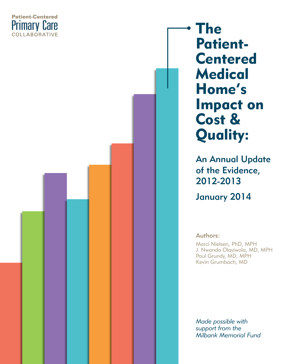

The Patient-Centered **Medical** Home's Impact on Cost & Quality:

> An Annual Update of the Evidence, 2012-2013 January 2014

Authors:

Marci Nielsen, PhD, MPH J. Nwando Olayiwola, MD, MPH Paul Grundy, MD, MPH Kevin Grumbach, MD

*Made possible with support from the Milbank Memorial Fund*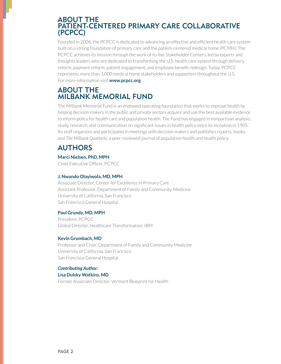### ABOUT THE PATIENT-CENTERED PRIMARY CARE COLLABORATIVE (PCPCC)

Founded in 2006, the PCPCC is dedicated to advancing an effective and efficient health care system built on a strong foundation of primary care and the patient-centered medical home (PCMH). The PCPCC achieves its mission through the work of its five Stakeholder Centers, led by experts and thoughts leaders who are dedicated to transforming the U.S. health care system through delivery reform, payment reform, patient engagement, and employee benefit redesign. Today, PCPCC represents more than 1,000 medical home stakeholders and supporters throughout the U.S. For more information visit **www.pcpcc.org**.

## ABOUT THE MILBANK MEMORIAL FUND

The Milbank Memorial Fund is an endowed operating foundation that works to improve health by helping decision makers in the public and private sectors acquire and use the best available evidence to inform policy for health care and population health. The Fund has engaged in nonpartisan analysis, study, research, and communication on significant issues in health policy since its inception in 1905. Its staff organizes and participates in meetings with decision makers and publishes reports, books, and *The Milbank Quarterly*, a peer-reviewed journal of population health and health policy.

# AUTHORS

### **Marci Nielsen, PhD, MPH**

Chief Executive Officer, PCPCC

### **J. Nwando Olayiwola, MD, MPH**

Associate Director, Center for Excellence in Primary Care Assistant Professor, Department of Family and Community Medicine University of California, San Francisco San Francisco General Hospital

### **Paul Grundy, MD, MPH**

President. PCPCC Global Director, Healthcare Transformation, IBM

### **Kevin Grumbach, MD**

Professor and Chair, Department of Family and Community Medicine University of California, San Francisco San Francisco General Hospital

#### *Contributing Author:* **Lisa Dulsky Watkins, MD**

Former Associate Director, Vermont Blueprint for Health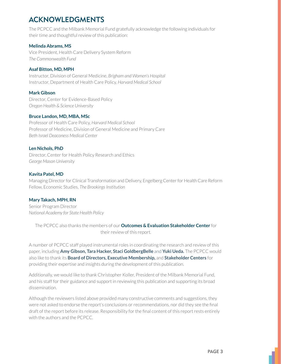# ACKNOWLEDGMENTS

The PCPCC and the Milbank Memorial Fund gratefully acknowledge the following individuals for their time and thoughtful review of this publication:

### **Melinda Abrams, MS**

Vice President, Health Care Delivery System Reform *The Commonwealth Fund* 

### **Asaf Bitton, MD, MPH**

Instructor, Division of General Medicine, Brigham and Women's Hospital Instructor, Department of Health Care Policy, Harvard Medical School

### **Mark Gibson**

Director, Center for Evidence-Based Policy *Oregon Health & Science University*

### **Bruce Landon, MD, MBA, MSc**

**Professor of Health Care Policy, Harvard Medical School** Professor of Medicine, Division of General Medicine and Primary Care *Beth Israel Deaconess Medical Center*

### **Len Nichols, PhD**

Director, Center for Health Policy Research and Ethics *George Mason University*

### **Kavita Patel, MD**

Managing Director for Clinical Transformation and Delivery, Engelberg Center for Health Care Reform Fellow, Economic Studies, The Brookings Institution

### **Mary Takach, MPH, RN**

Senior Program Director *National Academy for State Health Policy*

The PCPCC also thanks the members of our **Outcomes & Evaluation Stakeholder Center** for their review of this report.

A number of PCPCC staff played instrumental roles in coordinating the research and review of this paper, including Amy Gibson, Tara Hacker, Staci GoldbergBelle and Yuki Ueda. The PCPCC would also like to thank its **Board of Directors, Executive Membership,** and Stakeholder Centers for providing their expertise and insights during the development of this publication.

Additionally, we would like to thank Christopher Koller, President of the Milbank Memorial Fund, and his staff for their guidance and support in reviewing this publication and supporting its broad dissemination.

Although the reviewers listed above provided many constructive comments and suggestions, they were not asked to endorse the report's conclusions or recommendations, nor did they see the final draft of the report before its release. Responsibility for the final content of this report rests entirely with the authors and the PCPCC.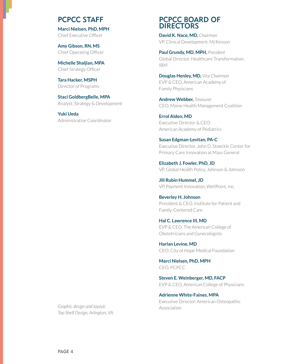### PCPCC STAFF

**Marci Nielsen, PhD, MPH** Chief Executive Officer

**Amy Gibson, RN, MS** Chief Operating Officer

**Michelle Shaljian, MPA** Chief Strategy Officer

**Tara Hacker, MSPH** Director of Programs

**Staci GoldbergBelle, MPA** Analyst, Strategy & Development

**Yuki Ueda** Administrative Coordinator

### PCPCC BOARD OF **DIRECTORS**

**David K. Nace, MD,** *Chairman* VP, Clinical Development, McKesson

**Paul Grundy, MD, MPH,** *President* Global Director, Healthcare Transformation,  $IBM$ 

**Douglas Henley, MD,** *Vice Chairman* EVP & CEO, American Academy of Family Physicians

**Andrew Webber,** *Treasurer* CEO, Maine Health Management Coalition

**Errol Alden, MD** Executive Director & CEO American Academy of Pediatrics

**Susan Edgman-Levitan, PA-C** Executive Director, John D. Stoeckle Center for Primary Care Innovation at Mass General

**Elizabeth J. Fowler, PhD, JD** VP, Global Health Policy, Johnson & Johnson

**Jill Rubin Hummel, JD** VP, Payment Innovation, WellPoint, Inc.

**Beverley H. Johnson** President & CEO, Institute for Patient and Family-Centered Care

**Hal C. Lawrence III, MD** EVP & CEO, The American College of Obstetricians and Gynecologists

**Harlan Levine, MD** CEO, City of Hope Medical Foundation

**Marci Nielsen, PhD, MPH** CEO. PCPCC

**Steven E. Weinberger, MD, FACP** EVP & CEO, American College of Physicians

**Adrienne White-Faines, MPA** Executive Director, American Osteopathic Association

*Graphic design and layout: Top Shelf Design, Arlington, VA*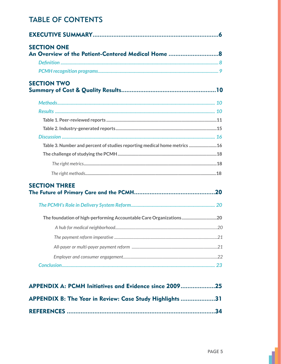# **TABLE OF CONTENTS**

| <b>SECTION ONE</b>                                                        |    |
|---------------------------------------------------------------------------|----|
|                                                                           |    |
|                                                                           |    |
| <b>SECTION TWO</b>                                                        |    |
|                                                                           |    |
|                                                                           |    |
|                                                                           |    |
|                                                                           |    |
|                                                                           |    |
| Table 3. Number and percent of studies reporting medical home metrics  16 |    |
|                                                                           |    |
|                                                                           |    |
|                                                                           |    |
| <b>SECTION THREE</b>                                                      |    |
|                                                                           |    |
|                                                                           |    |
|                                                                           |    |
|                                                                           |    |
|                                                                           |    |
|                                                                           |    |
|                                                                           |    |
| $\triangle$ PPFNDIX $\triangle$ PCMH Initiatives and Evidence since 2009  | 25 |

| APPENDIX A: PUMM Initiatives and Evidence since 200925   |
|----------------------------------------------------------|
| APPENDIX B: The Year in Review: Case Study Highlights 31 |
|                                                          |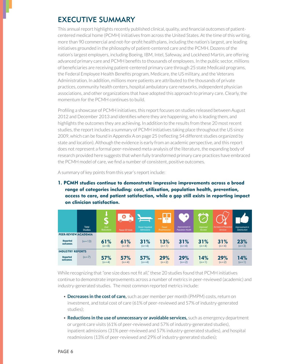# **EXECUTIVE SUMMARY**

This annual report highlights recently published clinical, quality, and financial outcomes of patientcentered medical home (PCMH) initiatives from across the United States. At the time of this writing, more than 90 commercial and not-for-profit health plans, including the nation's largest, are leading initiatives grounded in the philosophy of patient-centered care and the PCMH. Dozens of the nation's largest employers, including Boeing, IBM, Intel, Safeway, and Lockheed Martin, are offering advanced primary care and PCMH benefits to thousands of employees. In the public sector, millions of beneficiaries are receiving patient-centered primary care through 25 state Medicaid programs, the Federal Employee Health Benefits program, Medicare, the US military, and the Veterans Administration. In addition, millions more patients are attributed to the thousands of private practices, community health centers, hospital ambulatory care networks, independent physician associations, and other organizations that have adopted this approach to primary care. Clearly, the momentum for the PCMH continues to build.

Profiling a showcase of PCMH initiatives, this report focuses on studies released between August 2012 and December 2013 and identifies where they are happening, who is leading them, and highlights the outcomes they are achieving. In addition to the results from these 20 most recent studies, the report includes a summary of PCMH initiatives taking place throughout the US since 2009, which can be found in Appendix A on page 25 (reflecting 54 different studies organized by state and location). Although the evidence is early from an academic perspective, and this report does not represent a formal peer-reviewed meta-analysis of the literature, the expanding body of research provided here suggests that when fully transformed primary care practices have embraced the PCMH model of care, we find a number of consistent, positive outcomes.

A summary of key points from this year's report include:

1. PCMH studies continue to demonstrate impressive improvements across a broad range of categories including: cost, utilization, population health, prevention, access to care, and patient satisfaction, while a gap still exists in reporting impact on clinician satisfaction.

|                             | <b>Total</b><br><b>Studies</b> | U).<br>Cost<br><b>Reductions</b> | $\bullet$<br><b>Fewer ED Visits</b> | <b>Fewer Inpatient</b><br>Admissions | n n<br>Fewer<br>Readmissions | ÷<br>Improvement in<br><b>Population Health</b> | $\sigma$<br><b>Improved</b><br>Access | <b>Increase in Preventive</b><br><b>Services</b> | Improvement in<br>Satisfaction |
|-----------------------------|--------------------------------|----------------------------------|-------------------------------------|--------------------------------------|------------------------------|-------------------------------------------------|---------------------------------------|--------------------------------------------------|--------------------------------|
| PEER-REVIEW/ACADEMIA        |                                |                                  |                                     |                                      |                              |                                                 |                                       |                                                  |                                |
| <b>Reported</b><br>outcomes | $(n=13)$                       | 61%<br>$(n=8)$                   | 61%<br>$(n=8)$                      | 31%<br>$(n=4)$                       | 13%<br>$(n=1)$               | 31%<br>$(n=4)$                                  | 31%<br>$(n=4)$                        | 31%<br>$(n=4)$                                   | 23%<br>$(n=3)$                 |
| <b>INDUSTRY REPORTS</b>     |                                |                                  |                                     |                                      |                              |                                                 |                                       |                                                  |                                |
| <b>Reported</b><br>outcomes | $(n=7)$                        | 57%<br>$(n=4)$                   | 57%<br>$(n=4)$                      | 57%<br>$(n=4)$                       | 29%<br>$(n=2)$               | 29%<br>$(n=2)$                                  | 14%<br>$(n=1)$                        | 29%<br>$(n=2)$                                   | 14%<br>$(n=1)$                 |

While recognizing that "one size does not fit all," these 20 studies found that PCMH initiatives continue to demonstrate improvements across a number of metrics in peer-reviewed (academic) and industry-generated studies. The most common reported metrics include:

- Decreases in the cost of care, such as per member per month (PMPM) costs, return on investment, and total cost of care (61% of peer-reviewed and 57% of industry-generated studies):
- Reductions in the use of unnecessary or avoidable services, such as emergency department or urgent care visits (61% of peer-reviewed and 57% of industry-generated studies), inpatient admissions (31% peer-reviewed and 57% industry-generated studies), and hospital readmissions (13% of peer-reviewed and 29% of industry-generated studies);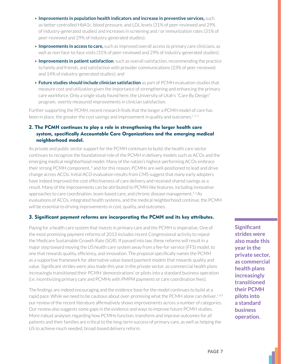- **Improvements in population health indicators and increase in preventive services,** such as better controlled HbA1c, blood pressure, and LDL levels (31% of peer-reviewed and 29% of industry-generated studies) and increases in screening and / or immunization rates (31% of peer-reviewed and 29% of industry-generated studies);
- **Improvements in access to care,** such as improved overall access to primary care clinicians, as well as non-face-to-face visits (31% of peer-reviewed and 29% of industry-generated studies);
- **Improvements in patient satisfaction**, such as overall satisfaction, recommending the practice to family and friends, and satisfaction with provider communications (23% of peer-reviewed and 14% of industry-generated studies); and
- **Future studies should include clinician satisfaction** as part of PCMH evaluation studies that measure cost and utilization given the importance of strengthening and enhancing the primary care workforce. Only a single study found here, the University of Utah's "Care By Design" program, overtly measured improvements in clinician satisfaction.

Further supporting the PCMH, recent research finds that the longer a PCMH model of care has been in place, the greater the cost savings and improvement in quality and outcomes.<sup>1,2,3</sup>

### 2. The PCMH continues to play a role in strengthening the larger health care system, specifically Accountable Care Organizations and the emerging medical neighborhood model.

As private and public sector support for the PCMH continues to build, the health care sector continues to recognize the foundational role of the PCMH in delivery models such as ACOs and the emerging medical neighborhood model. Many of the nation's highest-performing ACOs embrace their strong PCMH component, 4 and for this reason, PCMHs are well-positioned to lead and drive change across ACOs. Initial ACO evaluation results from CMS suggest that many early adopters have indeed improved the cost effectiveness of care delivery and received shared savings as a result. Many of the improvements can be attributed to PCMH-like features, including innovative approaches to care coordination, team-based care, and chronic disease management.<sup>5,6</sup>As evaluations of ACOs, integrated health systems, and the medical neighborhood continue, the PCMH will be essential to driving improvements in cost, quality, and outcomes.

### 3. Significant payment reforms are incorporating the PCMH and its key attributes.

Paying for a health care system that invests in primary care and the PCMH is imperative. One of the most promising payment reforms of 2013 includes recent Congressional activity to repeal the Medicare Sustainable Growth Rate (SGR). If passed into law, these reforms will result in a major step toward moving the US health care system away from a fee-for-service (FFS) model, to one that rewards quality, efficiency, and innovation. The proposal specifically names the PCMH as a supportive framework for alternative value-based payment models that rewards quality and value. Significant strides were also made this year in the private sector, as commercial health plans increasingly transitioned their PCMH 'demonstrations' or pilots into a standard business operation (i.e. incentivizing primary care and PCMHs with PMPM payments or care coordination fees).

The findings are indeed encouraging and the evidence base for the model continues to build at a rapid pace. While we need to be cautious about over-promising what the PCMH alone can deliver.<sup>7,8,9</sup> our review of the recent literature affirmatively shows improvements across a number of categories. Our review also suggests some gaps in the evidence and ways to improve future PCMH studies. More robust analyses regarding how PCMHs function, transform and improve outcomes for all patients and their families are critical to the long-term success of primary care, as well as helping the US to achieve much needed, broad-based delivery reform.

**Significant strides were also made this year in the private sector, as commercial health plans increasingly transitioned their PCMH pilots into a standard business operation.**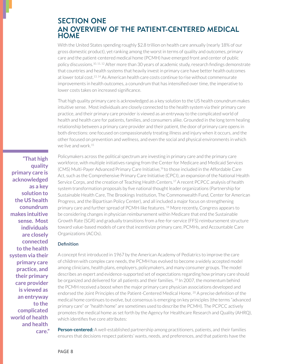### SECTION ONE AN OVERVIEW OF THE PATIENT-CENTERED MEDICAL **HOME**

With the United States spending roughly \$2.8 trillion on health care annually (nearly 18% of our gross domestic product), yet ranking among the worst in terms of quality and outcomes, primary care and the patient-centered medical home (PCMH) have emerged front and center of public policy discussions.<sup>10, 11, 12</sup> After more than 30 years of academic study, research findings demonstrate that countries and health systems that heavily invest in primary care have better health outcomes at lower total cost.<sup>13, 14</sup> As American health care costs continue to rise without commensurate improvements in health outcomes, a conundrum that has intensified over time, the imperative to lower costs takes on increased significance.

That high quality primary care is acknowledged as a key solution to the US health conundrum makes intuitive sense. Most individuals are closely connected to the health system via their primary care practice, and their primary care provider is viewed as an entryway to the complicated world of health and health care for patients, families, and consumers alike. Grounded in the long term healing relationship between a primary care provider and their patient, the door of primary care opens in both directions: one focused on compassionately treating illness and injury when it occurs, and the other focused on prevention and wellness, and even the social and physical environments in which we live and work. $15$ 

Policymakers across the political spectrum are investing in primary care and the primary care workforce, with multiple initiatives ranging from the Center for Medicare and Medicaid Services (CMS) Multi-Payer Advanced Primary Care Initiative,<sup>16</sup> to those included in the Affordable Care Act, such as the Comprehensive Primary Care Initiative (CPCI), an expansion of the National Health Service Corps, and the creation of Teaching Health Centers.<sup>17</sup> A recent PCPCC analysis of health system transformation proposals by five national thought leader organizations (Partnership for Sustainable Health Care, The Brookings Institution, The Commonwealth Fund, Center for American Progress, and the Bipartisan Policy Center), and all included a major focus on strengthening primary care and further spread of PCMH-like features.<sup>18</sup> More recently, Congress appears to be considering changes in physician reimbursement within Medicare that end the Sustainable Growth Rate (SGR) and gradually transitions from a fee-for-service (FFS) reimbursement structure toward value-based models of care that incentivize primary care, PCMHs, and Accountable Care Organizations (ACOs).

#### Definition

A concept first introduced in 1967 by the American Academy of Pediatrics to improve the care of children with complex care needs, the PCMH has evolved to become a widely accepted model among clinicians, health plans, employers, policymakers, and many consumer groups. The model describes an expert and evidence-supported set of expectations regarding how primary care should be organized and delivered for all patients and their families. <sup>19</sup> In 2007, the momentum behind the PCMH received a boost when the major primary care physician associations developed and endorsed the Joint Principles of the Patient-Centered Medical Home.<sup>20</sup> A precise definition of the medical home continues to evolve, but consensus is emerging on key principles (the terms "advanced primary care" or "health home" are sometimes used to describe the PCMH). The PCPCC actively promotes the medical home as set forth by the Agency for Healthcare Research and Quality (AHRQ), which identifies five core attributes:

**Person-centered:** A well-established partnership among practitioners, patients, and their families ensures that decisions respect patients' wants, needs, and preferences, and that patients have the

**"That high quality primary care is acknowledged as a key solution to the US health conundrum makes intuitive sense. Most individuals are closely connected to the health system via their primary care practice, and their primary care provider is viewed as an entryway to the complicated world of health and health care."**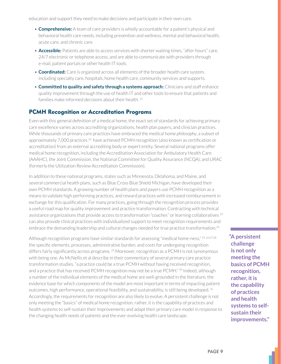education and support they need to make decisions and participate in their own care.

- **Comprehensive:** A team of care providers is wholly accountable for a patient's physical and behavioral health care needs, including prevention and wellness, mental and behavioral health, acute care, and chronic care.
- Accessible: Patients are able to access services with shorter waiting times, "after hours" care, 24/7 electronic or telephone access, and are able to communicate with providers through e-mail, patient portals or other health IT tools.
- **Coordinated:** Care is organized across all elements of the broader health care system, including specialty care, hospitals, home health care, community services and supports.
- **Committed to quality and safety through a systems approach:** Clinicians and staff enhance quality improvement through the use of health IT and other tools to ensure that patients and families make informed decisions about their health.  $21$

### PCMH Recognition or Accreditation Programs

Even with this general definition of a medical home, the exact set of standards for achieving primary care excellence varies across accrediting organizations, health plan payers, and clinician practices. While thousands of primary care practices have embraced the medical home philosophy, a subset of approximately 7,000 practices<sup>22</sup> have achieved PCMH recognition (also known as certification or accreditation) from an external accrediting body or expert entity. Several national programs offer medical home recognition, including the Accreditation Association for Ambulatory Health Care (AAAHC), the Joint Commission, the National Committee for Quality Assurance (NCQA), and URAC (formerly the Utilization Review Accreditation Commission).

In addition to these national programs, states such as Minnesota, Oklahoma, and Maine, and several commercial health plans, such as Blue Cross Blue Shield Michigan, have developed their own PCMH standards. A growing number of health plans and payers use PCMH recognition as a means to validate high performing practices, and reward practices with increased reimbursement in exchange for this qualification. For many practices, going through the recognition process provides a useful road map for quality improvement and practice transformation. Contracting with technical assistance organizations that provide access to transformation "coaches" or learning collaboratives<sup>23</sup> can also provide clinical practices with individualized support to meet recognition requirements and embrace the demanding leadership and cultural changes needed for true practice transformation.<sup>24</sup>

Although recognition programs have similar standards for assessing "medical home-ness," 25, 26, 27, 28 the specific elements, processes, administrative burden, and costs for undergoing recognition differs fairly significantly across programs.<sup>29</sup> Moreover, recognition as a PCMH is not synonymous with being one. As McNellis et al describe in their commentary of several primary care practice transformation studies, "a practice could be a true PCMH without having received recognition, and a practice that has received PCMH recognition may not be a true PCMH." <sup>30</sup> Indeed, although a number of the individual elements of the medical home are well-grounded in the literature, the evidence base for which components of the model are most important in terms of impacting patient outcomes, high performance, operational feasibility, and sustainability, is still being developed.  $31$ Accordingly, the requirements for recognition are also likely to evolve. A persistent challenge is not only meeting the "basics" of medical home recognition, rather, it is the capability of practices and health systems to self-sustain their improvements and adapt their primary care model in response to the changing health needs of patients and the ever-evolving health care landscape.

**"A persistent challenge is not only meeting the basics of PCMH recognition, rather, it is the capability of practices and health systems to selfsustain their improvements."**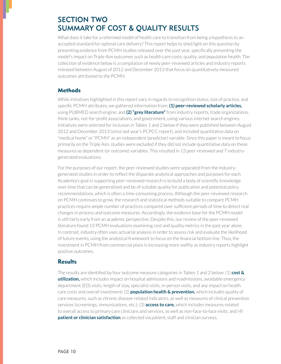# SECTION TWO SUMMARY OF COST & QUALITY RESULTS

What does it take for a reformed model of health care to transition from being a hypothesis to an accepted standard for optimal care delivery? This report helps to shed light on this question by presenting evidence from PCMH studies released over the past year, specifically presenting the model's impact on Triple Aim outcomes such as health care costs, quality, and population health. The collection of evidence below is a compilation of newly peer-reviewed articles and industry reports released between August of 2012 and December 2013 that focus on quantitatively measured outcomes attributed to the PCMH.

### **Methods**

While initiatives highlighted in this report vary in regards to recognition status, size of practice, and specific PCMH attributes, we gathered information from: (1) peer-reviewed scholarly articles, using PUBMED search engine; and (2) "grey literature" from industry reports, trade organizations, think tanks, not-for-profit associations, and government, using various internet search engines. Initiatives were selected for inclusion in Tables 1 and 2 below if they were published between August 2012 and December 2013 (since last year's PCPCC report), and included quantitative data on "medical home" or "PCMH" as an independent (predictor) variable. Since this paper is meant to focus primarily on the Triple Aim, studies were excluded if they did not include quantitative data on these measures as dependent (or outcome) variables. This resulted in 13 peer-reviewed and 7 industrygenerated evaluations.

For the purposes of our report, the peer-reviewed studies were separated from the industrygenerated studies in order to reflect the disparate analytical approaches and purposes for each. Academia's goal in supporting peer-reviewed research is to build a body of scientific knowledge over time that can be generalized and be of suitable quality for publication and potential policy recommendations, which is often a time-consuming process. Although the peer-reviewed research on PCMH continues to grow, the research and statistical methods suitable to compare PCMH practices require ample number of practices compared over sufficient periods of time to detect real changes in process and outcome measures. Accordingly, the evidence base for the PCMH model is still fairly early from an academic perspective. Despite this, our review of the peer-reviewed literature found 13 PCMH evaluations examining cost and quality metrics in the past year alone. In contrast, industry often uses actuarial analysis in order to assess risk and evaluate the likelihood of future events, using the analytical framework to focus on the financial bottom line. Thus, the investment in PCMH from commercial plans is increasing more swiftly as industry reports highlight positive outcomes.

### **Results**

The results are identified by four outcome measure categories in Tables 1 and 2 below:  $(1)$  cost  $\&$ **utilization,** which includes impact on hospital admissions and readmissions, avoidable emergency department (ED) visits, length of stay, specialist visits, in-person visits, and any impact on health care costs and overall investment; (2) **population health & prevention,** which includes quality of care measures, such as chronic disease-related indicators, as well as measures of clinical prevention services (screenings, immunizations, etc.); (3) **access to care,** which includes measures related to overall access to primary care clinicians and services, as well as non-face-to-face visits; and  $(4)$ **patient or clinician satisfaction** as collected via patient, staff and clinician surveys.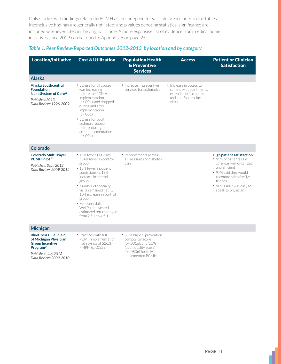Only studies with findings related to PCMH as the independent variable are included in the tables. Inconclusive findings are generally not listed; and p values denoting statistical significance are included whenever cited in the original article. A more expansive list of evidence from medical home initiatives since 2009 can be found in Appendix A on page 25.

### *Table 1. Peer Review-Reported Outcomes 2012-2013, by location and by category*

| <b>Location/Initiative</b>                                                                                                                                | <b>Cost &amp; Utilization</b>                                                                                                                                                                                                                                                                                                       | <b>Population Health</b><br>& Preventive<br><b>Services</b>                                                                                  | <b>Access</b>                                                                                                 | <b>Patient or Clinician</b><br><b>Satisfaction</b>                                                                                                                                                              |
|-----------------------------------------------------------------------------------------------------------------------------------------------------------|-------------------------------------------------------------------------------------------------------------------------------------------------------------------------------------------------------------------------------------------------------------------------------------------------------------------------------------|----------------------------------------------------------------------------------------------------------------------------------------------|---------------------------------------------------------------------------------------------------------------|-----------------------------------------------------------------------------------------------------------------------------------------------------------------------------------------------------------------|
| <b>Alaska</b>                                                                                                                                             |                                                                                                                                                                                                                                                                                                                                     |                                                                                                                                              |                                                                                                               |                                                                                                                                                                                                                 |
| <b>Alaska Southcentral</b><br><b>Foundation</b><br>Nuka System of Care <sup>32</sup><br>Published:2013<br>Data Review: 1996-2009                          | • ED use for all causes<br>was increasing<br>before the PCMH<br>implementation<br>$(p<.001)$ , and dropped<br>during and after<br>implementation<br>(p < .001)<br>• ED use for adult<br>asthma dropped<br>before, during, and<br>after implementation<br>(p<.001)                                                                   | • Increase in preventive<br>services for asthmatics                                                                                          | • Increase in access to<br>same-day appointments,<br>extended office hours.<br>and non-face-to-face<br>visits |                                                                                                                                                                                                                 |
| Colorado                                                                                                                                                  |                                                                                                                                                                                                                                                                                                                                     |                                                                                                                                              |                                                                                                               |                                                                                                                                                                                                                 |
| <b>Colorado Multi-Paver</b><br>PCMH Pilot <sup>33</sup><br>Published: Sept. 2012<br>Data Review: 2009-2012                                                | • 15% fewer FD visits<br>(v. 4% fewer in control<br>group)<br>• 18% fewer inpatient<br>admissions (v. 18%<br>increase in control<br>group)<br>• Number of specialty<br>visits remained flat (v.<br>10% increase in control<br>group)<br>• For every dollar<br>WellPoint invested.<br>estimated return ranged<br>from 2.5:1 to 4.5:1 | • Improvements across<br>all measures of diabetes<br>care                                                                                    |                                                                                                               | High patient satisfaction:<br>• 95% of patients said<br>care was well organized<br>and efficient<br>• 97% said they would<br>recommend to family/<br>friends<br>• 90% said it was easy to<br>speak to physician |
| <b>Michigan</b>                                                                                                                                           |                                                                                                                                                                                                                                                                                                                                     |                                                                                                                                              |                                                                                                               |                                                                                                                                                                                                                 |
| <b>BlueCross BlueShield</b><br>of Michigan Physician<br><b>Group Incentive</b><br>Program <sup>34</sup><br>Published: July 2013<br>Data Review: 2009-2010 | • Practices with full<br>PCMH implementation<br>had savings of \$26.37<br>PMPM (p=.0529)                                                                                                                                                                                                                                            | • 5.1% higher "prevention"<br>composite" score<br>(p=.0316); and 3.5%<br>"adult quality score"<br>$(p=.0806)$ for fully<br>implemented PCMHs |                                                                                                               |                                                                                                                                                                                                                 |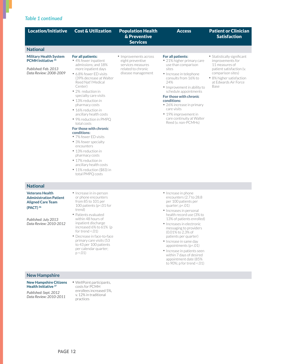### *Table 1 continued*

| <b>Location/Initiative</b>                                                                                               | <b>Cost &amp; Utilization</b>                                                                                                                                                                                                                                                                                                                                                                                                                                                                                                                                                                                | <b>Population Health</b><br>& Preventive<br><b>Services</b>                                                | <b>Access</b>                                                                                                                                                                                                                                                                                                                                                     | <b>Patient or Clinician</b><br><b>Satisfaction</b>                                                                                                                                    |
|--------------------------------------------------------------------------------------------------------------------------|--------------------------------------------------------------------------------------------------------------------------------------------------------------------------------------------------------------------------------------------------------------------------------------------------------------------------------------------------------------------------------------------------------------------------------------------------------------------------------------------------------------------------------------------------------------------------------------------------------------|------------------------------------------------------------------------------------------------------------|-------------------------------------------------------------------------------------------------------------------------------------------------------------------------------------------------------------------------------------------------------------------------------------------------------------------------------------------------------------------|---------------------------------------------------------------------------------------------------------------------------------------------------------------------------------------|
| <b>National</b>                                                                                                          |                                                                                                                                                                                                                                                                                                                                                                                                                                                                                                                                                                                                              |                                                                                                            |                                                                                                                                                                                                                                                                                                                                                                   |                                                                                                                                                                                       |
| <b>Military Health System</b><br><b>PCMH Initiative 35</b><br>Published: Feb. 2013<br>Data Review: 2008-2009             | For all patients:<br>• 4% fewer inpatient<br>admissions: and 18%<br>more inpatient days<br>• 6.8% fewer ED visits<br>(39% decrease at Walter<br>Reed Nat'l Medical<br>Center)<br>• 2% reduction in<br>specialty care visits<br>• 13% reduction in<br>pharmacy costs<br>• 16% reduction in<br>ancillary health costs<br>• 9% reduction in PMPQ<br>total costs<br>For those with chronic<br>conditions:<br>• 7% fewer ED visits<br>• 3% fewer specialty<br>encounters<br>• 13% reduction in<br>pharmacy costs<br>• 17% reduction in<br>ancillary health costs<br>• 11% reduction (\$83) in<br>total PMPQ costs | • Improvements across<br>eight preventive<br>services measures<br>related to chronic<br>disease management | For all patients:<br>• 21% higher primary care<br>use than comparison<br>sites<br>• Increase in telephone<br>consults from 16% to<br>24%<br>• Improvement in ability to<br>schedule appointments<br>For those with chronic<br>conditions:<br>• 26% increase in primary<br>care visits<br>• 19% improvement in<br>care continuity at Walter<br>Reed (v. non-PCMHs) | • Statistically significant<br>improvements for<br>11 measures of<br>patient satisfaction (v.<br>comparison sites)<br>• 8% higher satisfaction<br>at Edwards Air Force<br><b>Base</b> |
| <b>National</b>                                                                                                          |                                                                                                                                                                                                                                                                                                                                                                                                                                                                                                                                                                                                              |                                                                                                            |                                                                                                                                                                                                                                                                                                                                                                   |                                                                                                                                                                                       |
| <b>Veterans Health</b><br><b>Administration Patient</b><br><b>Aligned Care Team</b><br>(PACT) 36<br>Published: July 2013 | • Increase in in-person<br>or phone encounters<br>from 85 to 101 per<br>100 patients (p <. 01 for<br>trend)<br>• Patients evaluated<br>within 48 hours of                                                                                                                                                                                                                                                                                                                                                                                                                                                    |                                                                                                            | • Increase in phone<br>encounters (2.7 to 28.8)<br>per 100 patients per<br>quarter; $p<.01$ )<br>• Increases in personal<br>health record use (3% to<br>13% of patients enrolled)                                                                                                                                                                                 |                                                                                                                                                                                       |

- within 48 hours of inpatient discharge increased 6% to 61% (p for trend  $\leq$ .01)
- Decrease in face-to-face primary care visits (53 to 43 per 100 patients per calendar quarter;  $p < .01$

#### **New Hampshire**

*Data Review: 2010-2012*

#### **New Hampshire Citizens Health Initiative 37**

*Published: Sept. 2012 Data Review: 2010-2011* • WellPoint participants, costs for PCMH enrollees increased 5%, v. 12% in traditional practices

- 13% of patients enrolled)
- $\bullet$  Increases in electronic messaging to providers (0.01% to 2.3% of patients per quarter)
- Increase in same day appointments (p<.01)
- Increase in patients seen within 7 days of desired appointment date (85% to 90%; p for trend <.01)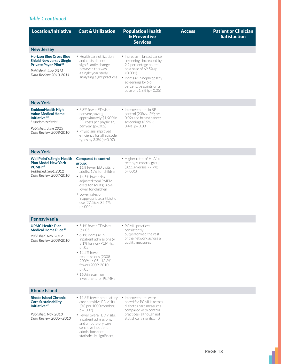### *Table 1 continued*

| <b>Location/Initiative</b>                                                                                                                                | <b>Cost &amp; Utilization</b>                                                                                                                                                                                                                                            | <b>Population Health</b><br>& Preventive<br><b>Services</b>                                                                                                                                                                | <b>Access</b> | <b>Patient or Clinician</b><br><b>Satisfaction</b> |
|-----------------------------------------------------------------------------------------------------------------------------------------------------------|--------------------------------------------------------------------------------------------------------------------------------------------------------------------------------------------------------------------------------------------------------------------------|----------------------------------------------------------------------------------------------------------------------------------------------------------------------------------------------------------------------------|---------------|----------------------------------------------------|
| <b>New Jersey</b>                                                                                                                                         |                                                                                                                                                                                                                                                                          |                                                                                                                                                                                                                            |               |                                                    |
| <b>Horizon Blue Cross Blue</b><br><b>Shield New Jersey Single</b><br>Private Payer Pilot <sup>38</sup><br>Published: June 2013<br>Data Review: 2010-2011  | • Health care utilization<br>and costs did not<br>significantly change,<br>however, this was<br>a single year study<br>analyzing eight practices                                                                                                                         | • Increase in breast cancer<br>screenings increased by<br>2.2 percentage points<br>on a base of 69.5% (p<br>< 0.001<br>• Increase in nephropathy<br>screenings by 6.6<br>percentage points on a<br>base of 51.8% (p= 0.05) |               |                                                    |
| <b>New York</b>                                                                                                                                           |                                                                                                                                                                                                                                                                          |                                                                                                                                                                                                                            |               |                                                    |
| <b>EmblemHealth High</b><br><b>Value Medical Home</b><br>Initiative <sup>39</sup><br>* randomized trial<br>Published: June 2013<br>Data Review: 2008-2010 | • 3.8% fewer ED visits<br>per year, saving<br>approximately \$1,900 in<br>ED costs per physician.<br>per year (p=.002)<br>• Physicians improved<br>efficiency for all episode<br>types by 3.3% (p=0.07)                                                                  | • Improvements in BP<br>control (23% v. 2%; p=<br>0.02) and breast cancer<br>screenings (3.5% v.<br>$0.4\%; p = 0.03$                                                                                                      |               |                                                    |
| <b>New York</b>                                                                                                                                           |                                                                                                                                                                                                                                                                          |                                                                                                                                                                                                                            |               |                                                    |
| <b>WellPoint's Single Health</b><br><b>Plan Model New York</b><br>PCMH <sup>40</sup><br>Published: Sept. 2012<br>Data Review: 2007-2010                   | Compared to control<br>group:<br>• 11% fewer ED visits for<br>adults; 17% for children<br>• 14.5% lower risk<br>adjusted total PMPM<br>costs for adults: 8.6%<br>lower for children<br>• Lower rates of<br>inappropriate antibiotic<br>use (27.5% v. 35.4%;<br>$p=.001)$ | • Higher rates of HbA1c<br>testing v. control group<br>(82.1% versus 77.7%;<br>p > .001                                                                                                                                    |               |                                                    |
| Pennsylvania                                                                                                                                              |                                                                                                                                                                                                                                                                          |                                                                                                                                                                                                                            |               |                                                    |
| <b>UPMC Health Plan</b><br>Medical Home Pilot <sup>41</sup><br>Published: Nov. 2012<br>Data Review: 2008-2010                                             | • 5.1% fewer ED visits<br>(p< .05)<br>• 6.1% increase in<br>inpatient admissions (v.<br>8.1% for non-PCMHs:<br>p < .05)<br>• 12.5% fewer<br>readmissions (2008-<br>2009; p <. 05); 18.3%<br>fewer (2009-2010;<br>$p < .05$ )<br>· 160% return on<br>investment for PCMHs | • PCMH practices<br>consistently<br>outperformed the rest<br>of the network across all<br>quality measures                                                                                                                 |               |                                                    |
| <b>Rhode Island</b>                                                                                                                                       |                                                                                                                                                                                                                                                                          |                                                                                                                                                                                                                            |               |                                                    |
| <b>Rhode Island Chronic</b><br><b>Care Sustainability</b><br>Initiative <sup>42</sup><br>Published: Nov. 2013<br>Data Review: 2006 - 2010                 | • 11.6% fewer ambulatory<br>care sensitive ED visits<br>(0.8 per 1000 member;<br>$p = .002$<br>• Fewer overall ED visits.<br>inpatient admissions,<br>and ambulatory care<br>sensitive inpatient<br>admissions (not                                                      | • Improvements were<br>noted for PCMHs across<br>diabetes care measures<br>compared with control<br>practices (although not<br>statistically significant)                                                                  |               |                                                    |

statistically significant)

1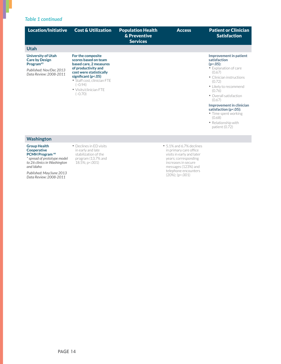### *Table 1 continued*

I

| Location/Initiative                                                                                                       | <b>Cost &amp; Utilization</b>                                                                                                                                                                                                       | <b>Population Health</b><br>& Preventive<br><b>Services</b> | <b>Access</b>            | <b>Patient or Clinician</b><br><b>Satisfaction</b>                                                                                                                                                                                                                                                                                    |
|---------------------------------------------------------------------------------------------------------------------------|-------------------------------------------------------------------------------------------------------------------------------------------------------------------------------------------------------------------------------------|-------------------------------------------------------------|--------------------------|---------------------------------------------------------------------------------------------------------------------------------------------------------------------------------------------------------------------------------------------------------------------------------------------------------------------------------------|
| <b>Utah</b>                                                                                                               |                                                                                                                                                                                                                                     |                                                             |                          |                                                                                                                                                                                                                                                                                                                                       |
| University of Utah<br><b>Care by Design</b><br>Program <sup>43</sup><br>Published: Nov/Dec 2013<br>Data Review: 2008-2011 | For the composite<br>scores based on team<br>based care, 2 measures<br>of productivity and<br>cost were statistically<br>significant ( $p$ <.05)<br>· Staff cost, clinician FTE<br>$(-0.94)$<br>• Visits/clinician FTE<br>$(-0.70)$ |                                                             |                          | Improvement in patient<br>satisfaction<br>$(p<.05)$ :<br>• Explanation of care<br>(0.67)<br>• Clinician instructions<br>(0.72)<br>• Likely to recommend<br>(0.76)<br>• Overall satisfaction<br>(0.67)<br>Improvement in clinician<br>satisfaction (p<.05):<br>• Time spent working<br>(0.68)<br>• Relationship with<br>patient (0.72) |
| Washington                                                                                                                |                                                                                                                                                                                                                                     |                                                             |                          |                                                                                                                                                                                                                                                                                                                                       |
| <b>Group Health</b>                                                                                                       | • Declines in ED visits                                                                                                                                                                                                             |                                                             | • 5.1% and 6.7% declines |                                                                                                                                                                                                                                                                                                                                       |

#### **Cooperative PCMH Program 44**

*\* spread of prototype model to 26 clinics in Washington and Idaho*

*Published: May/June 2013 Data Review: 2008-2011*

in early and late stabilization of the program (13.7% and 18.5%; p <. 001)

in primary care office visits in early and later years; corresponding increases in secure messages (123%) and telephone encounters (20%); (p <. 001)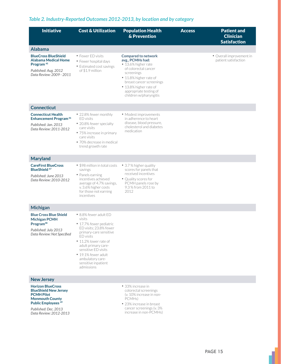### *Table 2. Industry-Reported Outcomes 2012-2013, by location and by category*

| <b>Initiative</b>                                                                                                                                                                       | <b>Cost &amp; Utilization</b>                                                                                                                                                                                                                                                      | <b>Population Health</b><br>& Prevention                                                                                                                                                                                                        | <b>Access</b> | <b>Patient and</b><br><b>Clinician</b><br><b>Satisfaction</b> |
|-----------------------------------------------------------------------------------------------------------------------------------------------------------------------------------------|------------------------------------------------------------------------------------------------------------------------------------------------------------------------------------------------------------------------------------------------------------------------------------|-------------------------------------------------------------------------------------------------------------------------------------------------------------------------------------------------------------------------------------------------|---------------|---------------------------------------------------------------|
| <b>Alabama</b>                                                                                                                                                                          |                                                                                                                                                                                                                                                                                    |                                                                                                                                                                                                                                                 |               |                                                               |
| <b>BlueCross BlueShield</b><br>Alabama Medical Home<br>Program <sup>45</sup><br>Published: Aug. 2012<br>Data Review: 2009 - 2011                                                        | • Fewer ED visits<br>• Fewer hospital days<br>• Estimated cost savings<br>of \$1.9 million                                                                                                                                                                                         | <b>Compared to network</b><br>avg., PCMHs had:<br>● 13.6% higher rate<br>of colorectal cancer<br>screenings<br>• 11.8% higher rate of<br>breast cancer screenings<br>• 13.8% higher rate of<br>appropriate testing of<br>children w/pharyngitis |               | • Overall improvement in<br>patient satisfaction              |
| <b>Connecticut</b>                                                                                                                                                                      |                                                                                                                                                                                                                                                                                    |                                                                                                                                                                                                                                                 |               |                                                               |
| <b>Connecticut Health</b><br><b>Enhancement Program<sup>46</sup></b><br>Published: Jan. 2013<br>Data Review: 2011-2012                                                                  | • 22.8% fewer monthly<br>ED visits<br>• 20.8% fewer specialty<br>care visits<br>• 75% increase in primary<br>care visits<br>· 70% decrease in medical<br>trend growth rate                                                                                                         | • Modest improvements<br>in adherence to heart<br>disease, blood pressure,<br>cholesterol and diabetes<br>medication                                                                                                                            |               |                                                               |
| <b>Maryland</b>                                                                                                                                                                         |                                                                                                                                                                                                                                                                                    |                                                                                                                                                                                                                                                 |               |                                                               |
| <b>CareFirst BlueCross</b><br><b>BlueShield 47</b><br>Published: June 2013<br>Data Review: 2010-2012                                                                                    | • \$98 million in total costs<br>savings<br>• Panels earning<br>incentives achieved<br>average of 4.7% savings,<br>v. 3.6% higher costs<br>for those not earning<br>incentives                                                                                                     | • 3.7% higher quality<br>scores for panels that<br>received incentives<br>• Quality scores for<br>PCMH panels rose by<br>9.3 % from 2011 to<br>2012                                                                                             |               |                                                               |
| <b>Michigan</b>                                                                                                                                                                         |                                                                                                                                                                                                                                                                                    |                                                                                                                                                                                                                                                 |               |                                                               |
| <b>Blue Cross Blue Shield</b><br><b>Michigan PCMH</b><br>Program <sup>48</sup><br>Published: July 2013<br>Data Review: Not Specified                                                    | • 8.8% fewer adult ED<br>visits<br>• 17.7% fewer pediatric<br>FD visits: 23.8% fewer<br>primary-care sensitive<br>ED visits<br>• 11.2% lower rate of<br>adult primary care-<br>sensitive ED visits<br>• 19.1% fewer adult<br>ambulatory care-<br>sensitive inpatient<br>admissions |                                                                                                                                                                                                                                                 |               |                                                               |
| <b>New Jersey</b>                                                                                                                                                                       |                                                                                                                                                                                                                                                                                    |                                                                                                                                                                                                                                                 |               |                                                               |
| <b>Horizon BlueCross</b><br><b>BlueShield New Jersey</b><br><b>PCMH Pilot</b><br><b>Monmouth County</b><br><b>Public Employees 49</b><br>Published: Dec. 2013<br>Data Review: 2012-2013 |                                                                                                                                                                                                                                                                                    | • 33% increase in<br>colorectal screenings<br>(v. 10% increase in non-<br>PCMH <sub>s</sub> )<br>• 23% increase in breast<br>cancer screenings (v. 3%<br>increase in non-PCMHs)                                                                 |               |                                                               |
|                                                                                                                                                                                         |                                                                                                                                                                                                                                                                                    |                                                                                                                                                                                                                                                 |               |                                                               |

ı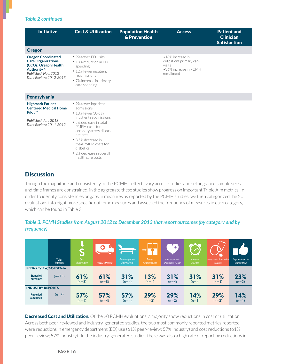### *Table 2 continued*

| <b>Initiative</b>                                                                                                                                           | <b>Cost &amp; Utilization</b>                                                                                                                                                                                                                                                     | <b>Population Health</b><br>& Prevention | <b>Access</b>                                                                                | <b>Patient and</b><br><b>Clinician</b><br><b>Satisfaction</b> |
|-------------------------------------------------------------------------------------------------------------------------------------------------------------|-----------------------------------------------------------------------------------------------------------------------------------------------------------------------------------------------------------------------------------------------------------------------------------|------------------------------------------|----------------------------------------------------------------------------------------------|---------------------------------------------------------------|
| Oregon                                                                                                                                                      |                                                                                                                                                                                                                                                                                   |                                          |                                                                                              |                                                               |
| <b>Oregon Coordinated</b><br><b>Care Organizations</b><br>(CCOs) Oregon Health<br>Authority <sup>50</sup><br>Published: Nov. 2013<br>Data Review: 2012-2013 | • 9% fewer FD visits<br>• 18% reduction in FD<br>spending<br>• 12% fewer inpatient<br>readmissions<br>• 7% increase in primary<br>care spending                                                                                                                                   |                                          | •18% increase in<br>outpatient primary care<br>visits<br>•36% increase in PCMH<br>enrollment |                                                               |
| Pennsylvania                                                                                                                                                |                                                                                                                                                                                                                                                                                   |                                          |                                                                                              |                                                               |
| <b>Highmark Patient-</b><br><b>Centered Medical Home</b><br>Pilot <sup>51</sup><br>Published: Jan. 2013<br>Data Review: 2011-2012                           | • 9% fewer inpatient<br>admissions<br>• 13% fewer 30-day<br>inpatient readmissions<br>• 5% decrease in total<br>PMPM costs for<br>coronary artery disease<br>patients<br>• 3.5% decrease in<br>total PMPM costs for<br>diabetics<br>• 2% decrease in overall<br>health care costs |                                          |                                                                                              |                                                               |

### **Discussion**

Though the magnitude and consistency of the PCMH's effects vary across studies and settings, and sample sizes and time frames are constrained, in the aggregate these studies show progress on important Triple Aim metrics. In order to identify consistencies or gaps in measures as reported by the PCMH studies, we then categorized the 20 evaluations into eight more specific outcome measures and assessed the frequency of measures in each category, which can be found in Table 3.

### *Table 3. PCMH Studies from August 2012 to December 2013 that report outcomes (by category and by frequency)*

|                             |                                | ЧÞ                 | Œ                      |                                      |                       | ٠                                          |                           |                                                  |                                |
|-----------------------------|--------------------------------|--------------------|------------------------|--------------------------------------|-----------------------|--------------------------------------------|---------------------------|--------------------------------------------------|--------------------------------|
|                             | <b>Total</b><br><b>Studies</b> | Cost<br>Reductions | <b>Fewer ED Visits</b> | <b>Fewer Inpatient</b><br>Admissions | Fewer<br>Readmissions | Improvement in<br><b>Population Health</b> | <b>Improved</b><br>Access | <b>Increase in Preventive</b><br><b>Services</b> | Improvement in<br>Satisfaction |
| PEER-REVIEW/ACADEMIA        |                                |                    |                        |                                      |                       |                                            |                           |                                                  |                                |
| <b>Reported</b><br>outcomes | $(n=13)$                       | 61%<br>$(n=8)$     | 61%<br>$(n=8)$         | 31%<br>$(n=4)$                       | 13%<br>$(n=1)$        | 31%<br>$(n=4)$                             | 31%<br>$(n=4)$            | 31%<br>$(n=4)$                                   | 23%<br>$(n=3)$                 |
| <b>INDUSTRY REPORTS</b>     |                                |                    |                        |                                      |                       |                                            |                           |                                                  |                                |
| <b>Reported</b><br>outcomes | $(n=7)$                        | 57%<br>$(n=4)$     | 57%<br>$(n=4)$         | 57%<br>$(n=4)$                       | 29%<br>$(n=2)$        | 29%<br>$(n=2)$                             | 14%<br>$(n=1)$            | 29%<br>$(n=2)$                                   | 14%<br>$(n=1)$                 |

**Decreased Cost and Utilization.** Of the 20 PCMH evaluations, a majority show reductions in cost or utilization. Across both peer-reviewed and industry-generated studies, the two most commonly reported metrics reported were reductions in emergency department (ED) use (61% peer-review; 57% industry) and cost reductions (61% peer-review; 57% industry). In the industry-generated studies, there was also a high rate of reporting reductions in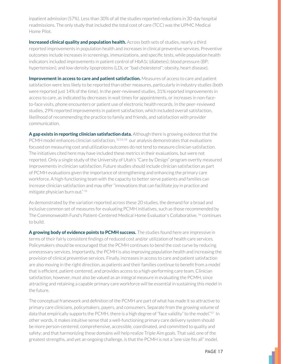inpatient admission (57%). Less than 30% of all the studies reported reductions in 30-day hospital readmissions. The only study that included the total cost of care (TCC) was the UPMC Medical Home Pilot

**Increased clinical quality and population health.** Across both sets of studies, nearly a third reported improvements in population health and increases in clinical preventive services. Preventive outcomes include increases in screenings, immunizations, and specific tests, while population health indicators included improvements in patient control of HbA1c (diabetes); blood pressure (BP; hypertension); and low-density lipoproteins (LDL or "bad cholesterol"; obesity, heart disease).

**Improvement in access to care and patient satisfaction.** Measures of access to care and patient satisfaction were less likely to be reported than other measures, particularly in industry studies (both were reported just 14% of the time). In the peer-reviewed studies, 31% reported improvements in access to care, as indicated by decreases in wait times for appointments, or increases in non-faceto-face visits, phone encounters or patient use of electronic health records. In the peer-reviewed studies, 29% reported improvements in patient satisfaction, which included overall satisfaction, likelihood of recommending the practice to family and friends, and satisfaction with provider communication.

A gap exists in reporting clinician satisfaction data. Although there is growing evidence that the PCMH model enhances clinician satisfaction, <sup>5253,54</sup> our analysis demonstrates that evaluations focused on measuring cost and utilization outcomes do not tend to measure clinician satisfaction. The initiatives cited here may have included these metrics in their evaluations, but were not reported. Only a single study of the University of Utah's "Care by Design" program overtly measured improvements in clinician satisfaction. Future studies should include clinician satisfaction as part of PCMH evaluations given the importance of strengthening and enhancing the primary care workforce. A high-functioning team with the capacity to better serve patients and families can increase clinician satisfaction and may offer "innovations that can facilitate joy in practice and mitigate physician burn out." 55

As demonstrated by the variation reported across these 20 studies, the demand for a broad and inclusive common set of measures for evaluating PCMH initiatives, such as those recommended by The Commonwealth Fund's Patient-Centered Medical Home Evaluator's Collaborative, <sup>56</sup> continues to build.

A growing body of evidence points to PCMH success. The studies found here are impressive in terms of their fairly consistent findings of reduced cost and/or utilization of health care services. Policymakers should be encouraged that the PCMH continues to bend the cost curve by reducing unnecessary services. Importantly, the PCMH is also improving population health and increasing the provision of clinical preventive services. Finally, increases in access to care and patient satisfaction are also moving in the right direction, as patients and their families continue to benefit from a model that is efficient, patient-centered, and provides access to a high-performing care team. Clinician satisfaction, however, must also be valued as an integral measure in evaluating the PCMH, since attracting and retaining a capable primary care workforce will be essential in sustaining this model in the future.

The conceptual framework and definition of the PCMH are part of what has made it so attractive to primary care clinicians, policymakers, payers, and consumers. Separate from the growing volume of data that empirically supports the PCMH, there is a high degree of "face validity" to the model." $^{57}$  In other words, it makes intuitive sense that a well-functioning primary care delivery system should be more person-centered, comprehensive, accessible, coordinated, and committed to quality and safety; and that harmonizing these domains will help realize Triple Aim goals. That said, one of the greatest strengths, and yet an ongoing challenge, is that the PCMH is not a "one size fits all" model.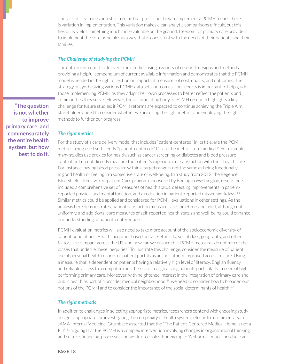The lack of clear rules or a strict recipe that prescribes how to implement a PCMH means there is variation in implementation. This variation makes clean analytic comparisons difficult, but this flexibility yields something much more valuable on the ground: freedom for primary care providers to implement the core principles in a way that is consistent with the needs of their patients and their families

### The Challenge of studying the PCMH

The data in this report is derived from studies using a variety of research designs and methods, providing a helpful compendium of current available information and demonstrates that the PCMH model is headed in the right direction on important measures of cost, quality, and outcomes. The strategy of synthesizing various PCMH data sets, outcomes, and reports is important to help guide those implementing PCMH as they adapt their own processes to better reflect the patients and communities they serve. However, the accumulating body of PCMH research highlights a key challenge for future studies: if PCMH reforms are expected to continue achieving the Triple Aim, stakeholders need to consider whether we are using the right metrics and employing the right methods to further our progress.

#### The right metrics

For the study of a care delivery model that includes "patient-centered" in its title, are the PCMH metrics being used sufficiently "patient-centered?" Or are the metrics too "medical?" For example, many studies use proxies for health, such as cancer screening or diabetes and blood pressure control, but do not directly measure the patient's experience or satisfaction with their health care. For instance, having blood pressure within a target range is not the same as being functionally in good health or feeling in a subjective state of well-being. In a study from 2012, the Regence Blue Shield Intensive Outpatient Care program sponsored by Boeing in Washington, researchers included a comprehensive set of measures of health status, detecting improvements in patientreported physical and mental function, and a reduction in patient-reported missed workdays. <sup>58</sup> Similar metrics could be applied and considered for PCMH evaluations in other settings. As the analysis here demonstrates, patient satisfaction measures are sometimes included, although not uniformly, and additional core measures of self-reported health status and well-being could enhance our understanding of patient-centeredness.

PCMH evaluation metrics will also need to take more account of the socioeconomic diversity of patient populations. Health inequities based on race-ethnicity, social class, geography, and other factors are rampant across the US, and how can we ensure that PCMH measures do not mirror the biases that underlie these inequities? To illustrate this challenge, consider the measure of patient use of personal health records or patient portals as an indicator of improved access to care. Using a measure that is dependent on patients having a relatively high level of literacy, English fluency, and reliable access to a computer runs the risk of marginalizing patients particularly in need of high performing primary care. Moreover, with heightened interest in the integration of primary care and public health as part of a broader medical neighborhood,<sup>59</sup> we need to consider how to broaden our notions of the PCMH and to consider the importance of the social determinants of health.<sup>60</sup>

#### The right methods

In addition to challenges in selecting appropriate metrics, researchers contend with choosing study designs appropriate for investigating the complexity of health system reform. In a commentary in JAMA-Internal Medicine, Grumbach asserted that the "The Patient-Centered Medical Home is not a Pill," <sup>61</sup> arguing that the PCMH is a complex intervention involving changes in organizational thinking and culture, financing, processes and workforce roles. For example: "A pharmaceutical product can

"The question is not whether to improve primary care, and commensurately the entire health system, but how best to do it."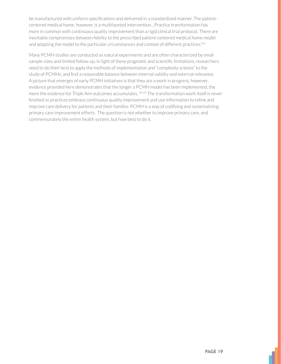be manufactured with uniform specifications and delivered in a standardized manner. The patientcentered medical home, however, is a multifaceted intervention...Practice transformation has more in common with continuous quality improvement than a rigid clinical trial protocol. There are inevitable compromises between fidelity to the prescribed patient-centered medical home model and adapting the model to the particular circumstances and context of different practices."62

Many PCMH studies are conducted as natural experiments and are often characterized by small sample sizes and limited follow-up. In light of these pragmatic and scientific limitations, researchers need to do their best to apply the methods of implementation and "complexity science" to the study of PCMHs, and find a reasonable balance between internal validity and external relevance. A picture that emerges of early PCMH initiatives is that they are a work in progress, however, evidence provided here demonstrates that the longer a PCMH model has been implemented, the more the evidence for Triple Aim outcomes accumulates. 63, 64 The transformation work itself is never finished as practices embrace continuous quality improvement and use information to refine and improve care delivery for patients and their families. PCMH is a way of codifying and systematizing primary care improvement efforts. The question is not whether to improve primary care, and commensurately the entire health system, but how best to do it.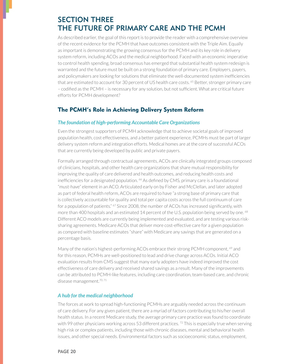# **SECTION THREE** THE FUTURE OF PRIMARY CARE AND THE PCMH

As described earlier, the goal of this report is to provide the reader with a comprehensive overview of the recent evidence for the PCMH that have outcomes consistent with the Triple Aim. Equally as important is demonstrating the growing consensus for the PCMH and its key role in delivery system reform, including ACOs and the medical neighborhood. Faced with an economic imperative to control health spending, broad consensus has emerged that substantial health system redesign is warranted and the future must be built on a strong foundation of primary care. Employers, payers, and policymakers are looking for solutions that eliminate the well-documented system inefficiencies that are estimated to account for 30 percent of US health care costs. <sup>65</sup> Better, stronger primary care - codified as the PCMH - is necessary for any solution, but not sufficient. What are critical future efforts for PCMH development?

### The PCMH's Role in Achieving Delivery System Reform

### The foundation of high-performing Accountable Care Organizations

Even the strongest supporters of PCMH acknowledge that to achieve societal goals of improved population health, cost effectiveness, and a better patient experience, PCMHs must be part of larger delivery system reform and integration efforts. Medical homes are at the core of successful ACOs that are currently being developed by public and private payers.

Formally arranged through contractual agreements, ACOs are clinically integrated groups composed of clinicians, hospitals, and other health care organizations that share mutual responsibility for improving the quality of care delivered and health outcomes, and reducing health costs and inefficiencies for a designated population. <sup>66</sup> As defined by CMS, primary care is a foundational "must-have" element in an ACO. Articulated early on by Fisher and McClellan, and later adopted as part of federal health reform, ACOs are required to have "a strong base of primary care that is collectively accountable for quality and total per capita costs across the full continuum of care for a population of patients."  $67$  Since 2008, the number of ACOs has increased significantly, with more than 400 hospitals and an estimated 14 percent of the U.S. population being served by one. <sup>68</sup> Different ACO models are currently being implemented and evaluated, and are testing various risksharing agreements. Medicare ACOs that deliver more cost-effective care for a given population as compared with baseline estimates "share" with Medicare any savings that are generated on a percentage basis.

Many of the nation's highest-performing ACOs embrace their strong PCMH component, 69 and for this reason, PCMHs are well-positioned to lead and drive change across ACOs. Initial ACO evaluation results from CMS suggest that many early adopters have indeed improved the cost effectiveness of care delivery and received shared savings as a result. Many of the improvements can be attributed to PCMH-like features, including care coordination, team-based care, and chronic disease management. $70,71$ 

### A hub for the medical neighborhood

The forces at work to spread high-functioning PCMHs are arguably needed across the continuum of care delivery. For any given patient, there are a myriad of factors contributing to his/her overall health status. In a recent Medicare study, the average primary care practice was found to coordinate with 99 other physicians working across 53 different practices.<sup>72</sup> This is especially true when serving high risk or complex patients, including those with chronic diseases, mental and behavioral health issues, and other special needs. Environmental factors such as socioeconomic status, employment,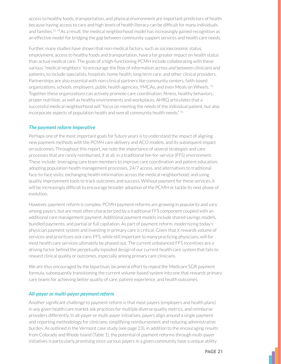access to healthy foods, transportation, and physical environment are important predictors of health because having access to care and high levels of health literacy can be difficult for many individuals and families.<sup>73,74</sup> As a result, the medical neighborhood model has increasingly gained recognition as an effective model for bridging the gap between community support services and health care needs.

Further, many studies have shown that non-medical factors, such as socioeconomic status, employment, access to healthy foods and transportation, have a far greater impact on health status than actual medical care. The goals of a high-functioning PCMH include collaborating with these various "medical neighbors" to encourage the flow of information across and between clinicians and patients, to include specialists, hospitals, home health, long term care, and other clinical providers. Partnerships are also essential with non-clinical partners like community centers, faith-based organizations, schools, employers, public health agencies, YMCAs, and even Meals on Wheels.<sup>75</sup> Together these organizations can actively promote care coordination, fitness, healthy behaviors, proper nutrition, as well as healthy environments and workplaces. AHRQ articulates that a successful medical neighborhood will "focus on meeting the needs of the individual patient, but also incorporate aspects of population health and overall community health needs." 76

### The payment reform imperative

Perhaps one of the most important goals for future years is to understand the impact of aligning new payment methods with the PCMH care delivery and ACO models, and its subsequent impact on outcomes. Throughout this report, we note the importance of several strategies and care processes that are rarely reimbursed, if at all, in a traditional fee-for-service (FFS) environment. These include: leveraging care team members to improve care coordination and patient education; adopting population health management processes, 24/7 access, and alternatives to traditional face-to-face visits; exchanging health information across the medical neighborhood; and using quality improvement tools to track outcomes and success. Without payment for these services, it will be increasingly difficult to encourage broader adoption of the PCMH or tackle its next phase of evolution.

However, payment reform is complex. PCMH payment reforms are growing in popularity and vary among payers, but are most often characterized by a traditional FFS component coupled with an additional care management payment. Additional payment models include shared savings models, bundled payments, and partial or full capitation. As part of payment reform, modernizing today's physician payment system and investing in primary care is critical. Given that it rewards volume of services and prioritizes sick care, FFS, while still important to many practicing physicians, will for most health care services ultimately be phased out. The current unbalanced FFS incentives are a driving factor behind the perpetually lopsided design of our current health care system that fails to reward clinical quality or outcomes, especially among primary care clinicians.

We are thus encouraged by the bipartisan, bicameral effort to repeal the Medicare SGR payment formula, subsequently transitioning the current volume-based system into one that rewards primary care teams for achieving better quality of care, patient experience, and health outcomes.

### All-payer or multi-payer payment reform

Another significant challenge to payment reform is that most payers (employers and health plans) in any given health care market ask practices for multiple diverse quality metrics, and reimburse providers differently. In all-payer or multi-payer initiatives, payers align around a single payment and reporting methodology for clinicians, simplifying reimbursement and reducing administrative burden. As outlined in the Vermont case study (see page 23), in addition to the encouraging results from Colorado and Rhode Island (Table 1), the potential of payment reforms through multi-payer initiatives is particularly promising since various payers in a given community have a unique ability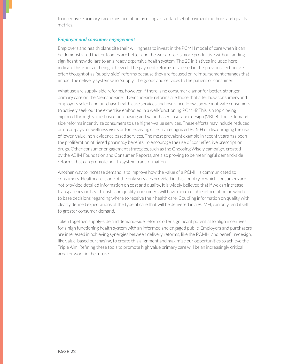to incentivize primary care transformation by using a standard set of payment methods and quality metrics.

#### **Employer and consumer engagement**

Employers and health plans cite their willingness to invest in the PCMH model of care when it can be demonstrated that outcomes are better and the work force is more productive without adding significant new dollars to an already expensive health system. The 20 initiatives included here indicate this is in fact being achieved. The payment reforms discussed in the previous section are often thought of as "supply-side" reforms because they are focused on reimbursement changes that impact the delivery system who "supply" the goods and services to the patient or consumer.

What use are supply-side reforms, however, if there is no consumer clamor for better, stronger primary care on the "demand-side"? Demand-side reforms are those that alter how consumers and employers select and purchase health care services and insurance. How can we motivate consumers to actively seek out the expertise embodied in a well-functioning PCMH? This is a topic being explored through value-based purchasing and value-based insurance design (VBID). These demandside reforms incentivize consumers to use higher-value services. These efforts may include reduced or no co-pays for wellness visits or for receiving care in a recognized PCMH or discouraging the use of lower-value, non-evidence based services. The most prevalent example in recent years has been the proliferation of tiered pharmacy benefits, to encourage the use of cost effective prescription drugs. Other consumer engagement strategies, such as the Choosing Wisely campaign, created by the ABIM Foundation and Consumer Reports, are also proving to be meaningful demand-side reforms that can promote health system transformation.

Another way to increase demand is to improve how the value of a PCMH is communicated to consumers. Healthcare is one of the only services provided in this country in which consumers are not provided detailed information on cost and quality. It is widely believed that if we can increase transparency on health costs and quality, consumers will have more reliable information on which to base decisions regarding where to receive their health care. Coupling information on quality with clearly defined expectations of the type of care that will be delivered in a PCMH, can only lend itself to greater consumer demand.

Taken together, supply-side and demand-side reforms offer significant potential to align incentives for a high functioning health system with an informed and engaged public. Employers and purchasers are interested in achieving synergies between delivery reforms, like the PCMH, and benefit redesign, like value-based purchasing, to create this alignment and maximize our opportunities to achieve the Triple Aim. Refining these tools to promote high value primary care will be an increasingly critical area for work in the future.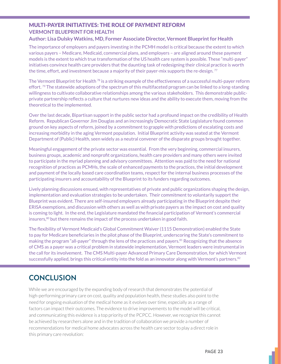### MULTI-PAYER INITIATIVES: THE ROLE OF PAYMENT REFORM **VERMONT BLUEPRINT FOR HEALTH**

### **Author: Lisa Dulsky Watkins, MD, Former Associate Director, Vermont Blueprint for Health**

The importance of employers and payers investing in the PCMH model is critical because the extent to which various payers – Medicare, Medicaid, commercial plans, and employers – are aligned around these payment models is the extent to which true transformation of the US health care system is possible. These "multi-payer" initiatives convince health care providers that the daunting task of redesigning their clinical practice is worth the time, effort, and investment because a majority of their payer-mix supports the re-design.<sup>77</sup>

The Vermont Blueprint for Health  $^{78}$  is a striking example of the effectiveness of a successful multi-payer reform effort.  $\frac{79}{2}$  The statewide adoptions of the spectrum of this multifaceted program can be linked to a long-standing willingness to cultivate collaborative relationships among the various stakeholders. This demonstrable publicprivate partnership reflects a culture that nurtures new ideas and the ability to execute them, moving from the theoretical to the implemented.

Over the last decade, Bipartisan support in the public sector had a profound impact on the credibility of Health Reform. Republican Governor Jim Douglas and an increasingly Democratic State Legislature found common ground on key aspects of reform, joined by a commitment to grapple with predictions of escalating costs and increasing morbidity in the aging Vermont population. Initial Blueprint activity was seated at the Vermont Department of (Public) Health, seen widely as a neutral convener of the disparate groups brought together.

Meaningful engagement of the private sector was essential. From the very beginning, commercial insurers, business groups, academic and nonprofit organizations, health care providers and many others were invited to participate in the myriad planning and advisory committees. Attention was paid to the need for national recognition of practices as PCMHs, the scale of enhanced payments to the practices, the initial development and payment of the locally based care coordination teams, respect for the internal business processes of the participating insurers and accountability of the Blueprint to its funders regarding outcomes.

Lively planning discussions ensued, with representatives of private and public organizations shaping the design, implementation and evaluation strategies to be undertaken. Their commitment to voluntarily support the Blueprint was evident. There are self-insured employers already participating in the Blueprint despite their ERISA exemptions, and discussion with others as well as with private payers as the impact on cost and quality is coming to light. In the end, the Legislature mandated the financial participation of Vermont's commercial insurers,<sup>80</sup> but there remains the impact of the process undertaken in good faith.

The flexibility of Vermont Medicaid's Global Commitment Waiver (1115 Demonstration) enabled the State to pay for Medicare beneficiaries in the pilot phase of the Blueprint, underscoring the State's commitment to making the program "all-payer" through the lens of the practices and payers.<sup>81</sup> Recognizing that the absence of CMS as a payer was a critical problem in statewide implementation, Vermont leaders were instrumental in the call for its involvement. The CMS Multi-payer Advanced Primary Care Demonstration, for which Vermont successfully applied, brings this critical entity into the fold as an innovator along with Vermont's partners.<sup>82</sup>

# **CONCLUSION**

While we are encouraged by the expanding body of research that demonstrates the potential of high-performing primary care on cost, quality and population health, these studies also point to the need for ongoing evaluation of the medical home as it evolves over time, especially as a range of factors can impact their outcomes. The evidence to drive improvements to the model will be critical, and communicating this evidence is a top priority of the PCPCC. However, we recognize this cannot be achieved by researchers alone and in the tradition of collaboration we provide a number of recommendations for medical home advocates across the health care sector to play a direct role in this primary care revolution: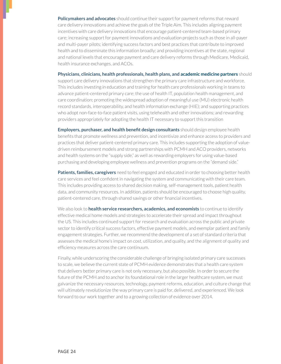**Policymakers and advocates** should continue their support for payment reforms that reward care delivery innovations and achieve the goals of the Triple Aim. This includes aligning payment incentives with care delivery innovations that encourage patient-centered team-based primary care; increasing support for payment innovations and evaluation projects such as those in all-payer and multi-payer pilots; identifying success factors and best practices that contribute to improved health and to disseminate this information broadly; and providing incentives at the state, regional and national levels that encourage payment and care delivery reforms through Medicare, Medicaid, health insurance exchanges, and ACOs.

**Physicians, clinicians, health professionals, health plans, and academic medicine partners** should

support care delivery innovations that strengthen the primary care infrastructure and workforce. This includes investing in education and training for health care professionals working in teams to advance patient-centered primary care; the use of health IT, population health management, and care coordination; promoting the widespread adoption of meaningful use (MU) electronic health record standards, interoperability, and health information exchange (HIE); and supporting practices who adopt non-face-to-face patient visits, using telehealth and other innovations; and rewarding providers appropriately for adopting the health IT necessary to support this transition

**Employers, purchaser, and health benefit design consultants** should design employee health benefits that promote wellness and prevention, and incentivize and enhance access to providers and practices that deliver patient-centered primary care. This includes supporting the adoption of valuedriven reimbursement models and strong partnerships with PCMH and ACO providers, networks and health systems on the "supply side," as well as rewarding employers for using value-based purchasing and developing employee wellness and prevention programs on the "demand side."

Patients, families, caregivers need to feel engaged and educated in order to choosing better health care services and feel confident in navigating the system and communicating with their care team. This includes providing access to shared decision making, self-management tools, patient health data, and community resources. In addition, patients should be encouraged to choose high quality, patient-centered care, through shared savings or other financial incentives.

We also look to **health service researchers, academics, and economists** to continue to identify effective medical home models and strategies to accelerate their spread and impact throughout the US. This includes continued support for research and evaluation across the public and private sector to identify critical success factors, effective payment models, and exemplar patient and family engagement strategies. Further, we recommend the development of a set of standard criteria that assesses the medical home's impact on cost, utilization, and quality, and the alignment of quality and efficiency measures across the care continuum.

Finally, while underscoring the considerable challenge of bringing isolated primary care successes to scale, we believe the current state of PCMH evidence demonstrates that a health care system that delivers better primary care is not only necessary, but also possible. In order to secure the future of the PCMH and to anchor its foundational role in the larger healthcare system, we must galvanize the necessary resources, technology, payment reforms, education, and culture change that will ultimately revolutionize the way primary care is paid for, delivered, and experienced. We look forward to our work together and to a growing collection of evidence over 2014.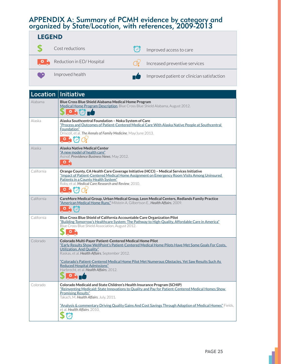# APPENDIX A: Summary of PCMH evidence by category and<br>organized by State/Location, with references, 2009-2013

| <b>LEGEND</b> |                          |  |                                            |  |  |
|---------------|--------------------------|--|--------------------------------------------|--|--|
|               | Cost reductions          |  | Improved access to care                    |  |  |
| ം             | Reduction in ED/Hospital |  | Increased preventive services              |  |  |
|               | Improved health          |  | Improved patient or clinician satisfaction |  |  |

|            | Location   Initiative                                                                                                                                                                                                                                                                 |
|------------|---------------------------------------------------------------------------------------------------------------------------------------------------------------------------------------------------------------------------------------------------------------------------------------|
| Alabama    | Blue Cross Blue Shield Alabama Medical Home Program<br>Medical Home Program Description, Blue Cross Blue Shield Alabama, August 2012.<br>$\bullet$ 8                                                                                                                                  |
| Alaska     | Alaska Southcentral Foundation - Noka System of Care<br>"Process and Outcomes of Patient-Centered Medical Care With Alaska Native People at Southcentral<br>Foundation"<br>Driscoll, et al. The Annals of Family Medicine, May/June 2013.                                             |
| Alaska     | <b>Alaska Native Medical Center</b><br>"A new model of health care"<br>Asinof. Providence Business News, May 2012.<br>$\frac{1}{2}$                                                                                                                                                   |
| California | Orange County, CA Health Care Coverage Initiative (HCCI) - Medical Services Initiative<br>"Impact of Patient-Centered Medical Home Assignment on Emergency Room Visits Among Uninsured<br>Patients in a County Health System"<br>Roby, et al. Medical Care Research and Review, 2010. |
| California | CareMore Medical Group, Urban Medical Group, Leon Medical Centers, Redlands Family Practice<br>"American Medical Home Runs." Milstein A, Gilbertson E., Health Affairs, 2009.<br>$O$ $V$                                                                                              |
| California | Blue Cross Blue Shield of California Accountable Care Organization Pilot<br><u>"Building Tomorrow's Healthcare System: The Pathway to High-Quality, Affordable Care in America"</u><br>Blue Cross Blue Shield Association, August 2012.                                               |
| Colorado   | Colorado Multi-Payer Patient-Centered Medical Home Pilot<br>"Early Results Show WellPoint's Patient-Centered Medical Home Pilots Have Met Some Goals For Costs,<br>Utilization, And Quality"<br>Raskas, et al. Health Affairs, September 2012.                                        |
|            | "Colorado's Patient-Centered Medical Home Pilot Met Numerous Obstacles. Yet Saw Results Such As<br>Reduced Hospital Admissions"<br>Harbrecht, et al. Health Affairs, 2012.<br>O                                                                                                       |
| Colorado   | Colorado Medicaid and State Children's Health Insurance Program (SCHIP)<br>"Reinventing Medicaid: State Innovations to Quality and Pay for Patient-Centered Medical Homes Show<br><b>Promising Results"</b><br>Takach, M. Health Affairs, July, 2011.                                 |
|            | "Analysis & commentary Driving Quality Gains And Cost Savings Through Adoption of Medical Homes" Fields,<br>et al. Health Affairs. 2010.                                                                                                                                              |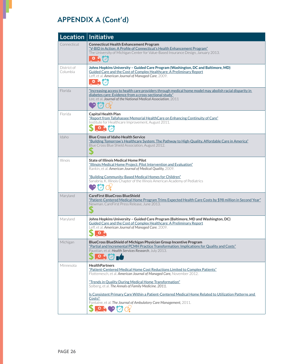| Location                | <b>Initiative</b>                                                                                                                                                                                                                                                                                                                                                                                                                                                                                                                         |
|-------------------------|-------------------------------------------------------------------------------------------------------------------------------------------------------------------------------------------------------------------------------------------------------------------------------------------------------------------------------------------------------------------------------------------------------------------------------------------------------------------------------------------------------------------------------------------|
| Connecticut             | <b>Connecticut Health Enhancement Program</b><br>"V-BID in Action: A Profile of Connecticut's Health Enhancement Program"<br>The University of Michigan Center for Value-Based Insurance Design, January 2013.                                                                                                                                                                                                                                                                                                                            |
| District of<br>Columbia | Johns Hopkins University - Guided Care Program (Washington, DC and Baltimore, MD)<br>Guided Care and the Cost of Complex Healthcare: A Preliminary Report<br>Leff, et al. American Journal of Managed Care, 2009.<br>ON<br>$\bigodot$                                                                                                                                                                                                                                                                                                     |
| Florida                 | "Increasing access to health care providers through medical home model may abolish racial disparity in<br>diabetes care: Evidence from a cross-sectional study"<br>Lee, et al. Journal of the National Medical Association, 2011                                                                                                                                                                                                                                                                                                          |
| Florida                 | <b>Capital Health Plan</b><br>"Report from Tallahassee Memorial HealthCare on Enhancing Continuity of Care"<br>Institute for Healthcare Improvement, August 2011.<br>9 <sub>7</sub>                                                                                                                                                                                                                                                                                                                                                       |
| Idaho                   | <b>Blue Cross of Idaho Health Service</b><br>"Building Tomorrow's Healthcare System: The Pathway to High-Quality, Affordable Care in America"<br>Blue Cross Blue Shield Association, August 2012.<br>S                                                                                                                                                                                                                                                                                                                                    |
| <b>Illinois</b>         | <b>State of Illinois Medical Home Pilot</b><br>"Illinois Medical Home Project: Pilot Intervention and Evaluation"<br>Rankin, et al. American Journal of Medical Quality, 2009.<br>"Building Community-Based Medical Homes for Children"<br>Sanabria, K. Illinois Chapter of the Illinois American Academy of Pediatrics                                                                                                                                                                                                                   |
| Maryland                | <b>CareFirst BlueCross BlueShield</b><br>"Patient-Centered Medical Home Program Trims Expected Health Care Costs by \$98 million in Second Year"<br>Newman. CareFirst Press Release, June 2013.<br>S                                                                                                                                                                                                                                                                                                                                      |
| Maryland                | Johns Hopkins University - Guided Care Program (Baltimore, MD and Washington, DC)<br>Guided Care and the Cost of Complex Healthcare: A Preliminary Report<br>Leff, et al. American Journal of Managed Care, 2009.                                                                                                                                                                                                                                                                                                                         |
| Michigan                | BlueCross BlueShield of Michigan Physician Group Incentive Program<br>"Partial and Incremental PCMH Practice Transformation: Implications for Quality and Costs"<br>Paustian, et al. Health Services Research, July 2013.<br>O <sub>h</sub>                                                                                                                                                                                                                                                                                               |
| Minnesota               | <b>HealthPartners</b><br>"Patient-Centered Medical Home Cost Reductions Limited to Complex Patients"<br>Flottemesch, et al. American Journal of Managed Care, November 2012.<br>"Trends in Quality During Medical Home Transformation"<br>Solberg, et al. The Annals of Family Medicine. 2011.<br>Is Consistent Primary Care Within a Patient-Centered Medical Home Related to Utilization Patterns and<br>Costs?<br>Fontaine, et al. The Journal of Ambulatory Care Management, 2011.<br>$\frac{1}{2}$ of $\frac{1}{2}$ of $\frac{1}{2}$ |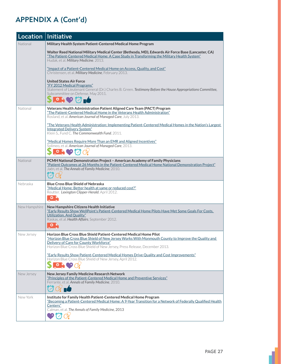|               | Location   Initiative                                                                                                                                                                                                                                                                              |
|---------------|----------------------------------------------------------------------------------------------------------------------------------------------------------------------------------------------------------------------------------------------------------------------------------------------------|
| National      | Military Health System Patient-Centered Medical Home Program                                                                                                                                                                                                                                       |
|               | Walter Reed National Military Medical Center (Bethesda, MD), Edwards Air Force Base (Lancaster, CA)<br>"The Patient-Centered Medical Home: A Case Study in Transforming the Military Health System"<br>Hudak, et al. Military Medicine. 2013.                                                      |
|               | "Impact of a Patient-Centered Medical Home on Access, Quality, and Cost"<br>Christensen, et al. Military Medicine, February 2013.                                                                                                                                                                  |
|               | <b>United States Air Force</b><br>"FY 2012 Medical Programs"<br>Statement of Lieutenant General (Dr.) Charles B. Green. Testimony Before the House Appropriations Committee,<br>Subcommittee on Defense, May 2011.<br>O <sub>1</sub>                                                               |
| National      | Veterans Health Administration Patient Aligned Care Team (PACT) Program<br>"The Patient-Centered Medical Home in the Veterans Health Administration"<br>Rosland, et al. American Journal of Managed Care, July 2013.                                                                               |
|               | "The Veterans Health Administration: Implementing Patient-Centered Medical Homes in the Nation's Largest<br>Integrated Delivery System"<br>Klein S., Fund C. The Commonwealth Fund, 2011.                                                                                                          |
|               | "Medical Homes Require More Than an EMR and Aligned Incentives"<br>Solimeo, et al. American Journal of Managed Care, 2013.<br>$\bullet \bullet \bullet \bullet \bullet$                                                                                                                            |
| National      | PCMH National Demonstration Project - American Academy of Family Physicians<br>"Patient Outcomes at 26 Months in the Patient-Centered Medical Home National Demonstration Project"<br>Jaén, et al. The Annals of Family Medicine, 2010.                                                            |
| Nebraska      | <b>Blue Cross Blue Shield of Nebraska</b><br>"Medical Home: Better health at same or reduced cost?"<br>Reutter. Lexington Clipper-Herald, April 2012.<br>O <sub>7</sub>                                                                                                                            |
| New Hampshire | New Hampshire Citizens Health Initiative<br>"Early Results Show WellPoint's Patient-Centered Medical Home Pilots Have Met Some Goals For Costs,<br>Utilization, And Quality"<br>Raskas, et al. Health Affairs, September 2012.<br>O <sub>V</sub>                                                   |
| New Jersey    | Horizon Blue Cross Blue Shield Patient-Centered Medical Home Pilot<br>"Horizon Blue Cross Blue Shield of New Jersey Works With Monmouth County to Improve the Quality and<br>Delivery of Care for County Workforce"<br>Horizon Blue Cross Blue Shield of New Jersey, Press Release, December 2013. |
|               | "Early Results Show Patient-Centered Medical Homes Drive Quality and Cost Improvements"<br>Horizon Blue Cross Blue Shield of New Jersey, April 2012.<br>N9<br>$\bullet$ N                                                                                                                          |
| New Jersey    | New Jersey Family Medicine Research Network<br>"Principles of the Patient-Centered Medical Home and Preventive Services"<br>Ferrante, et al. Annals of Family Medicine, 2010.<br>$\alpha$ in                                                                                                       |
| New York      | Institute for Family Health Patient-Centered Medical Home Program<br>"Becoming a Patient-Centered Medical Home: A 9-Year Transition for a Network of Federally Qualified Health<br>Centers"<br>Calman, et al. The Annals of Family Medicine, 2013                                                  |

1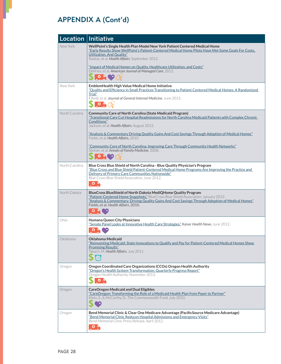| Location $ $   | Initiative                                                                                                                                                                                                                                                                                                                                                                            |
|----------------|---------------------------------------------------------------------------------------------------------------------------------------------------------------------------------------------------------------------------------------------------------------------------------------------------------------------------------------------------------------------------------------|
| New York       | WellPoint's Single Health Plan Model New York Patient Centered Medical Home<br>"Early Results Show WellPoint's Patient-Centered Medical Home Pilots Have Met Some Goals For Costs.<br>Utilization, And Quality"<br>Raskas, et al. Health Affairs, September 2012.<br>"Impact of Medical Homes on Quality, Healthcare Utilization, and Costs"                                          |
|                | DeVries, et al. American Journal of Managed Care, 2012.<br>$\bullet$ $\bullet$                                                                                                                                                                                                                                                                                                        |
| New York       | EmblemHealth High Value Medical Home Initiative<br>"Quality and Efficiency in Small Practices Transitioning to Patient Centered Medical Homes: A Randomized<br>Trial"<br>Fifield, et al. Journal of General Internal Medicine, June 2013.<br>$S^{\circ}_{\bullet}$                                                                                                                    |
| North Carolina | <b>Community Care of North Carolina (State Medicaid Program)</b><br>"Transitional Care Cut Hospital Readmissions for North Carolina Medicaid Patients with Complex Chronic<br>Conditions"<br>Jackson, et al. Health Affairs, August 2013.<br>"Analysis & Commentary Driving Quality Gains And Cost Savings Through Adoption of Medical Homes"<br>Fields, et al. Health Affairs, 2010. |
|                | "Community Care of North Carolina: Improving Care Through Community Health Networks"<br>Steiner, et al. Annals of Family Medicine, 2008.<br>$\mathbf{O}$ $\mathbf{V}$                                                                                                                                                                                                                 |
| North Carolina | Blue Cross Blue Shield of North Carolina - Blue Quality Physician's Program<br>"Blue Cross and Blue Shield Patient-Centered Medical Home Programs Are Improving the Practice and<br>Delivery of Primary Care Communities Nationwide"<br>Blue Cross Blue Shield Association, June 2012.<br>$\bullet$ $\bullet$                                                                         |
| North Dakota   | BlueCross BlueShield of North Dakota MediQHome Quality Program<br>"Patient-Centered Home Snapshots," BlueCross Blue Shield Association, January 2012.<br>"Analysis & Commentary: Driving Quality Gains And Cost Savings Through Adoption of Medical Homes"<br>Fields, et al. Health Affairs, 2010.<br>O N                                                                             |
| Ohio           | Humana Queen City Physicians<br>"Senate Panel Looks at Innovative Health Care Strategies," Kaiser Health News, June 2012.<br>$\circ$                                                                                                                                                                                                                                                  |
| Oklahoma       | <b>Oklahoma Medicaid</b><br>Reinventing Medicaid: State Innovations to Qualify and Pay for Patient-Centered Medical Homes Show<br><b>Promising Results</b> "<br>Takach, M. Health Affairs, July 2011.                                                                                                                                                                                 |
| Oregon         | Oregon Coordinated Care Organizations (CCOs) Oregon Health Authority<br>"Oregon's Health System Transformation: Quarterly Progress Report"<br>Oregon Health Authority, November 2013.<br>O <sub>N</sub>                                                                                                                                                                               |
| Oregon         | <b>CareOregon Medicaid and Dual Eligibles</b><br>"CareOregon: Transforming the Role of a Medicaid Health Plan from Payer to Partner"<br>Klein, S., & McCarthy, D., The Commonwealth Fund, July 2010.                                                                                                                                                                                  |
| Oregon         | Bend Memorial Clinic & Clear One Medicare Advantage (PacificSource Medicare Advantage)<br>"Bend Memorial Clinic Reduces Hospital Admissions and Emergency Visits"<br>Bend Memorial Clinic Press Release, April 2012.<br>$\circ$ $\circ$                                                                                                                                               |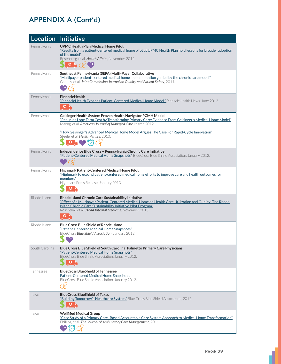| Location       | Initiative                                                                                                                                                                                                                                                                                              |
|----------------|---------------------------------------------------------------------------------------------------------------------------------------------------------------------------------------------------------------------------------------------------------------------------------------------------------|
| Pennsylvania   | <b>UPMC Health Plan Medical Home Pilot</b><br>"Results from a patient-centered medical home pilot at UPMC Health Plan hold lessons for broader adoption<br>of the model"<br>Rosenberg, et al. Health Affairs, November 2012.<br>O <sub>n</sub>                                                          |
| Pennsylvania   | Southeast Pennsylvania (SEPA) Multi-Payer Collaborative<br>"Multipayer patient-centered medical home implementation guided by the chronic care model"<br>Gabbay, et al. Joint Commission Journal on Quality and Patient Safety, 2011.                                                                   |
| Pennsylvania   | PinnacleHealth<br>"PinnacleHealth Expands Patient-Centered Medical Home Model," PinnacleHealth News, June 2012.<br>6 <sub>h</sub>                                                                                                                                                                       |
| Pennsylvania   | Geisinger Health System Proven Health Navigator PCMH Model<br>"Reducing Long-Term Cost by Transforming Primary Care: Evidence From Geisinger's Medical Home Model"<br>Maeng, et al. American Journal of Managed Care, March 2012.                                                                       |
|                | "How Geisinger's Advanced Medical Home Model Argues The Case For Rapid-Cycle Innovation"<br>Steele, et al. Health Affairs. 2010.<br>$\circ \bullet \circ \circ$                                                                                                                                         |
| Pennsylvania   | Independence Blue Cross - Pennsylvania Chronic Care Initiative<br>"Patient-Centered Medical Home Snapshots," BlueCross Blue Shield Association, January 2012.                                                                                                                                           |
| Pennsylvania   | Highmark Patient-Centered Medical Home Pilot<br>"Highmark to expand patient-centered medical home efforts to improve care and health outcomes for<br>members"<br>Highmark Press Release, January 2013.<br>o                                                                                             |
| Rhode Island   | Rhode Island Chronic Care Sustainability Initiative<br>"Effect of a Multipayer Patient-Centered Medical Home on Health Care Utilization and Quality: The Rhode<br>Island Chronic Care Sustainability Initiative Pilot Program"<br>Rosenthal, et al. JAMA Internal Medicine, November 2013.<br>$\bullet$ |
| Rhode Island   | <b>Blue Cross Blue Shield of Rhode Island</b><br>"Patient-Centered Medical Home Snapshots"<br>BlueCross Blue Shield Association, January 2012.<br>Yą,                                                                                                                                                   |
| South Carolina | Blue Cross Blue Shield of South Carolina, Palmetto Primary Care Physicians<br>"Patient-Centered Medical Home Snapshots"<br>BlueCross Blue Shield Association, January 2012.<br>၀ -                                                                                                                      |
| Tennessee      | <b>BlueCross BlueShield of Tennessee</b><br>Patient-Centered Medical Home Snapshots,<br>BlueCross Blue Shield Association, January 2012.                                                                                                                                                                |
| Texas          | <b>BlueCross BlueShield of Texas</b><br>"Building Tomorrow's Healthcare System," Blue Cross Blue Shield Association, 2012.<br>o                                                                                                                                                                         |
| lexas          | <b>WellMed Medical Group</b><br>"Case Study of a Primary Care-Based Accountable Care System Approach to Medical Home Transformation"<br>Phillips, et al. The Journal of Ambulatory Care Management, 2011.                                                                                               |

ı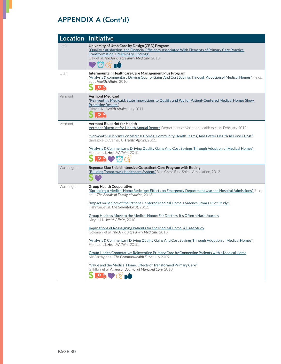| Location   | <b>Initiative</b>                                                                                                                                                                                                                                                                                                              |
|------------|--------------------------------------------------------------------------------------------------------------------------------------------------------------------------------------------------------------------------------------------------------------------------------------------------------------------------------|
| Utah       | University of Utah Care by Design (CBD) Program<br>"Quality, Satisfaction, and Financial Efficiency Associated With Elements of Primary Care Practice<br><b>Transformation: Preliminary Findings"</b><br>Day, et al, The Annals of Family Medicine, 2013.                                                                      |
| Utah       | Intermountain Healthcare Care Management Plus Program<br>"Analysis & commentary Driving Quality Gains And Cost Savings Through Adoption of Medical Homes" Fields,<br>et al. Health Affairs, 2010.<br>O <sub>V</sub>                                                                                                            |
| Vermont    | <b>Vermont Medicaid</b><br>"Reinventing Medicaid: State Innovations to Qualify and Pay for Patient-Centered Medical Homes Show<br><b>Promising Results"</b><br>Takach, M. Health Affairs, July 2011.<br>$S$ or                                                                                                                 |
| Vermont    | <b>Vermont Blueprint for Health</b><br>Vermont Blueprint for Health Annual Report, Department of Vermont Health Access, February 2013.<br>"Vermont's Blueprint For Medical Homes, Community Health Teams, And Better Health At Lower Cost"<br>Bielaszka-DuVernay C. Health Affairs, 2011.                                      |
|            | "Analysis & Commentary: Driving Quality Gains And Cost Savings Through Adoption of Medical Homes"<br>Fields, et al. Health Affairs, 2010.<br>$\bullet \bullet$                                                                                                                                                                 |
| Washington | Regence Blue Shield Intensive Outpatient Care Program with Boeing<br>"Building Tomorrow's Healthcare System," Blue Cross Blue Shield Association, 2012.<br>S<br>٠,                                                                                                                                                             |
| Washington | <b>Group Health Cooperative</b><br>"Spreading a Medical Home Redesign: Effects on Emergency Department Use and Hospital Admissions." Reid,<br>et al. The Annals of Family Medicine, 2013.<br>"Impact on Seniors of the Patient-Centered Medical Home: Evidence From a Pilot Study"<br>Fishman, et al. The Gerontologist. 2012. |
|            | Group Health's Move to the Medical Home: For Doctors, it's Often a Hard Journey<br>Meyer, H. Health Affairs, 2010.                                                                                                                                                                                                             |
|            | Implications of Reassigning Patients for the Medical Home: A Case Study<br>Coleman, et al. The Annals of Family Medicine, 2010.                                                                                                                                                                                                |
|            | "Analysis & Commentary Driving Ouality Gains And Cost Savings Through Adoption of Medical Homes"<br>Fields, et al. Health Affairs, 2010.                                                                                                                                                                                       |
|            | Group Health Cooperative: Reinventing Primary Care by Connecting Patients with a Medical Home<br>McCarthy, et al. The Commonwealth Fund, July 2009.                                                                                                                                                                            |
|            | "Value and the Medical Home: Effects of Transformed Primary Care"<br>Gilfillan, et al. American Journal of Managed Care, 2010.                                                                                                                                                                                                 |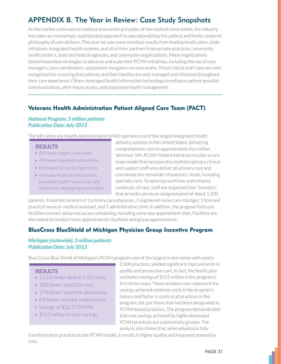# APPENDIX B. The Year in Review: Case Study Snapshots

As the market continues to coalesce around the principles of the medical home model, the industry has taken an increasingly sophisticated approach to operationalizing this patient and family centered philosophy of care delivery. This year we saw many standout results from leading health plans, state initiatives, integrated health systems, and all of their partners from private practices, community health centers, state and federal agencies, and community organizations. Many organizations tested innovative strategies to advance and scale their PCMH initiatives, including the use of care managers, care coordinators, and patient navigators on care teams. These critical staff roles are wellrecognized for ensuring that patients and their families are well-managed and informed throughout their care experience. Others leveraged health information technology to enhance patient-provider communications, after-hours access, and population health management.

### Veterans Health Administration Patient Aligned Care Team (PACT)

### *National Program, 5 million patients Publication Date: July 2013*

The VA's Veterans Health Administration (VHA) operates one of the largest integrated health

### **RESULTS**

- 8% fewer urgent care visits
- 4% fewer inpatient admissions
- Decrease in face-to-face visits
- Increase in phone encounters, personal health record use, and electronic messaging to providers

delivery systems in the United States, delivering comprehensive care to approximately five million Veterans, VA's PCMH Patient initiative includes a care team model that incorporates multidisciplinary clinical and support staff who deliver all primary care and coordinate the remainder of patients' needs, including specialty care. To optimize workflow and enhance continuity of care, staff are organized into "teamlets" that provide care to an assigned panel of about 1,200

patients. A teamlet consists of 1 primary care physician, 1 registered nurse care manager, 1 licensed practical nurse or medical assistant, and 1 administrative clerk. In addition, the program instructs facilities to enact advanced access scheduling, including same-day appointment slots. Facilities are also asked to conduct more appointments via phone and group appointments

### BlueCross BlueShield of Michigan Physician Group Incentive Program

### *Michigan (statewide), 3 million patients Publication Date: July 2013*

Blue Cross Blue Shield of Michigan's PCMH program, one of the largest in the nation with nearly

### **RESULTS**

- 13.5% fewer pediatric ED visits
- 10% fewer adult ED visits
- 17% fewer inpatient admissions
- 6% fewer hospital readmissions
- Savings of \$26.37 PMPM
- \$155 million in cost savings

2,500 practices, yielded significant improvements in quality and preventive care. In fact, the health plan estimates savings of  $$155$  million in the program's first three years. These avoided costs represent the savings achieved relatively early in the program's history and factor in costs at all practices in the program, not just those that had been designated as PCMH-based practices. The program demonstrated that cost savings achieved by highly developed PCMH practices are substantially greater. The analysis also shows that, when physicians fully

transform their practices to the PCMH model, it results in higher quality and improved preventive care.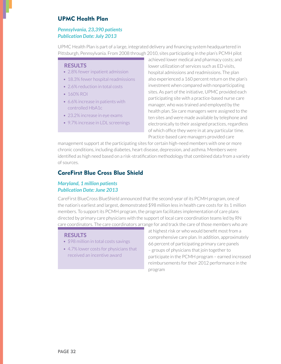### UPMC Health Plan

### *Pennsylvania, 23,390 patients Publication Date: July 2013*

UPMC Health Plan is part of a large, integrated delivery and financing system headquartered in Pittsburgh, Pennsylvania. From 2008 through 2010, sites participating in the plan's PCMH pilot

### **RESULTS**

- 2.8% fewer inpatient admission
- 18.3% fewer hospital readmissions
- 2.6% reduction in total costs
- $-160\%$  ROI
- 6.6% increase in patients with controlled HbA1c
- $\cdot$  23.2% increase in eve exams
- 9.7% increase in LDL screenings

achieved lower medical and pharmacy costs: and lower utilization of services such as ED visits, hospital admissions and readmissions. The plan also experienced a 160 percent return on the plan's investment when compared with nonparticipating sites. As part of the initiative, UPMC provided each participating site with a practice-based nurse care manager, who was trained and employed by the health plan. Six care managers were assigned to the ten sites and were made available by telephone and electronically to their assigned practices, regardless of which office they were in at any particular time. Practice-based care managers provided care

management support at the participating sites for certain high-need members with one or more chronic conditions, including diabetes, heart disease, depression, and asthma. Members were identified as high need based on a risk-stratification methodology that combined data from a variety of sources.

### CareFirst Blue Cross Blue Shield

### *Maryland, 1 million patients Publication Date: June 2013*

CareFirst BlueCross BlueShield announced that the second-year of its PCMH program, one of the nation's earliest and largest, demonstrated \$98 million less in health care costs for its 1 million members. To support its PCMH program, the program facilitates implementation of care plans directed by primary care physicians with the support of local care coordination teams led by RN care coordinators. The care coordinators arrange for and track the care of those members who are

#### **RESULTS**

- \$98 million in total costs savings
- $\bullet$  4.7% lower costs for physicians that received an incentive award

at highest risk or who would benefit most from a comprehensive care plan. In addition, approximately 66 percent of participating primary care panels  $-$  groups of physicians that join together to participate in the PCMH program - earned increased reimbursements for their 2012 performance in the program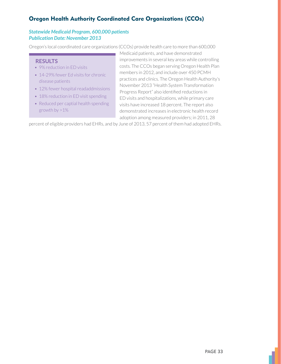### Oregon Health Authority Coordinated Care Organizations (CCOs)

### *Statewide Medicaid Program, 600,000 patients Publication Date: November 2013*

Oregon's local coordinated care organizations (CCOs) provide health care to more than 600,000

### **RESULTS**

- 9% reduction in ED visits
- 14-29% fewer Ed visits for chronic disease patients
- 12% fewer hospital readaddmissions
- 18% reduction in ED visit spending
- Reduced per captial health spending growth by  $>1\%$

Medicaid patients, and have demonstrated improvements in several key areas while controlling costs. The CCOs began serving Oregon Health Plan members in 2012, and include over 450 PCMH practices and clinics. The Oregon Health Authority's November 2013 "Health System Transformation Progress Report" also identified reductions in ED visits and hospitalizations, while primary care visits have increased 18 percent. The report also demonstrated increases in electronic health record adoption among measured providers; in 2011, 28

percent of eligible providers had EHRs, and by June of 2013, 57 percent of them had adopted EHRs.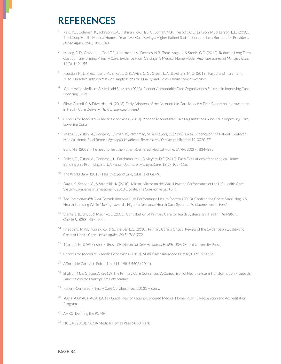# **REFERENCES**

- <sup>1</sup> Reid, R.J., Coleman, K., Johnson, E.A., Fishman, P.A., Hsu, C., Soman, M.P., Trescott, C.E., Erikson, M., & Larson, E.B. (2010). The Group Health Medical Home at Year Two: Cost Savings, Higher Patient Satisfaction, and Less Burnout for Providers. Health Affairs, 29(5), 835-843.
- <sup>2</sup> Maeng, D.D., Graham, J., Graf, T.R., Liberman, J.N., Dermes, N.B., Tomcavage, J., & Steele, G.D. (2012). Reducing Long-Term Cost by Transforming Primary Care: Evidence From Geisinger's Medical Home Model. American Journal of Managed Care, 18(3), 149-155.
- <sup>3</sup> Paustian, M. L., Alexander, J. A., El Reda, D. K., Wise, C. G., Green, L. A., & Fetters, M. D. (2013). Partial and Incremental PCMH Practice Transformat=ion: Implications for Quality and Costs. Health Services Research.
- <sup>4</sup> Centers for Medicare & Medicaid Services. (2013). Pioneer Accountable Care Organizations Succeed in Improving Care, Lowering Costs.
- <sup>5</sup> Silow-Carroll, S. & Edwards, J.N. (2013). Early Adopters of the Accountable Care Model: A Field Report on Improvements in Health Care Delivery. The Commonwealth Fund.
- <sup>6</sup> Centers for Medicare & Medicaid Services. (2013). Pioneer Accountable Care Organizations Succeed in Improving Care, Lowering Costs.
- <sup>7</sup> Peikes, D., Zutshi, A., Genevro, J., Smith, K., Parchman, M., & Meyers, D. (2012). Early Evidence on the Patient-Centered Medical Home. Final Report. Agency for Healthcare Research and Quality, publication 12-0020-EF.
- 8 Barr, M.S. (2008). The need to Test the Patient-Centered Medical Home. JAMA, 300(7), 834-835.
- <sup>9</sup> Peikes, D., Zutshi, A., Genevro, J.L., Parchman, M.L., & Meyers, D.S. (2012). Early Evaluations of the Medical Home: Building on a Promising Start. American Journal of Managed Care, 18(2), 105-116.
- <sup>10</sup> The World Bank. (2013). Health expenditure, total (% of GDP).
- <sup>11</sup> Davis, K., Schoen, C., & Stremikis, K. (2010). Mirror, Mirror on the Wall: How the Performance of the U.S. Health Care System Compares Internationally, 2010 Update. The Commonwealth Fund.
- <sup>12</sup> The Commonwealth Fund Commission on a High Performance Health System. (2013). Confronting Costs: Stabilizing U.S. Health Spending While Moving Toward a High Performance Health Care System. The Commonwealth Fund.
- <sup>13</sup> Starfield, B., Shi, L., & Macinko, J. (2005). Contribution of Primary Care to Health Systems and Health. The Milbank Quarterly, 83(3), 457-502.
- <sup>14</sup> Friedberg, M.W., Hussey, P.S., & Schneider, E.C. (2010). Primary Care: a Critical Review of the Evidence on Quality and Costs of Health Care. Health Affairs, 29(5), 766-772.
- <sup>15</sup> Marmot, M. & Wilkinson, R. (Eds.). (2009). Social Determinants of Health. USA: Oxford University Press.
- <sup>16</sup> Centers for Medicare & Medicaid Services. (2010). Multi-Payer Advanced Primary Care Initiative.
- <sup>17</sup> Affordable Care Act, Pub. L. No, 111-148. § 5508 (2011).
- <sup>18</sup> Shaljian, M. & Gibson, A. (2013). The Primary Care Consensus: A Comparison of Health System Transformation Proposals. Patient-Centered Primary Care Collaborative.
- <sup>19</sup> Patient-Centered Primary Care Collaborative. (2013). History.
- <sup>20</sup> AAFP, AAP, ACP, AOA. (2011). Guidelines for Patient-Centered Medical Home (PCMH) Recognition and Accreditation Programs.
- <sup>21</sup> AHRQ. Defining the PCMH.
- <sup>22</sup> NCOA. (2013). NCOA Medical Homes Pass 6,000 Mark.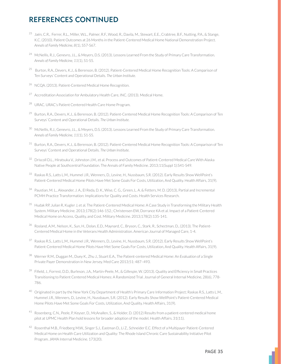# **REFERENCES CONTINUED**

- <sup>23</sup> Jaén, C.R., Ferrer, R.L., Miller, W.L., Palmer, R.F., Wood, R., Davila, M., Stewart, E.E., Crabtree, B.F., Nutting, P.A., & Stange, K.C. (2010). Patient Outcomes at 26 Months in the Patient-Centered Medical Home National Demonstration Project. Annals of Family Medicine, 8(1), S57-S67.
- 24 McNellis, R.J., Genevro, J.L., & Meyers, D.S. (2013). Lessons Learned From the Study of Primary Care Transformation. Annals of Family Medicine, 11(1), S1-S5.
- <sup>25</sup> Burton, R.A., Devers, K.J., & Berenson, B. (2012). Patient-Centered Medical Home Recognition Tools: A Comparison of Ten Surveys' Content and Operational Details. The Urban Institute.
- <sup>26</sup> NCQA. (2013). Patient-Centered Medical Home Recognition.
- Accreditation Association for Ambulatory Health Care, INC. (2013). Medical Home.
- <sup>28</sup> URAC. URAC's Patient Centered Health Care Home Program.
- <sup>29</sup> Burton, R.A., Devers, K.J., & Berenson, B. (2012). Patient-Centered Medical Home Recognition Tools: A Comparison of Ten Surveys' Content and Operational Details. The Urban Institute.
- <sup>30</sup> McNellis, R.J., Genevro, J.L., & Meyers, D.S. (2013). Lessons Learned From the Study of Primary Care Transformation. Annals of Family Medicine, 11(1), S1-S5.
- 31 Burton, R.A., Devers, K.J., & Berenson, B. (2012). Patient-Centered Medical Home Recognition Tools: A Comparison of Ten Surveys' Content and Operational Details. The Urban Institute.
- 32 Driscoll D.L., Hiratsuka V., Johnston J.M., et al. Process and Outcomes of Patient-Centered Medical Care With Alaska Native People at Southcentral Foundation. The Annals of Family Medicine. 2013;11(Suppl 1):S41-S49.
- 33 Raskas R.S., Latts L.M., Hummel J.R., Wenners, D., Levine, H., Nussbaum, S.R. (2012). Early Results Show WellPoint's Patient-Centered Medical Home Pilots Have Met Some Goals For Costs, Utilization, And Quality. Health Affairs, 31(9).
- 34 Paustian, M. L., Alexander, J. A., El Reda, D. K., Wise, C. G., Green, L. A. & Fetters, M. D. (2013), Partial and Incremental PCMH Practice Transformation: Implications for Quality and Costs. Health Services Research.
- 35 Hudak RP, Julian R, Kugler J, et al. The Patient-Centered Medical Home: A Case Study in Transforming the Military Health System. Military Medicine. 2013;178(2):146-152.; Christensen EW, Dorrance KA et al. Impact of a Patient-Centered Medical Home on Access, Quality, and Cost. Military Medicine. 2013;178(2):135-141.
- 36 Rosland, A.M., Nelson, K., Sun, H., Dolan, E.D., Maynard, C., Bryson, C., Stark, R., Schectman, D., (2013). The Patient-Centered Medical Home in the Veterans Health Administration. American Journal of Managed Care, 1-4.
- 37 Raskas R.S., Latts L.M., Hummel J.R., Wenners, D., Levine, H., Nussbaum, S.R. (2012). Early Results Show WellPoint's Patient-Centered Medical Home Pilots Have Met Some Goals For Costs, Utilization, And Quality. Health Affairs, 31(9).
- 38 Werner R.M., Duggan M., Duey K., Zhu J., Stuart E.A., The Patient-centered Medical Home: An Evaluation of a Single Private Payer Demonstration in New Jersey. Med Care 2013;51: 487-493.
- <sup>39</sup> Fifield, J., Forrest, D.D., Burleson, J.A., Martin-Peele, M., & Gillespie, W. (2013). Quality and Efficiency in Small Practices Transitioning to Patient Centered Medical Homes: A Randomized Trial. Journal of General Internal Medicine, 28(6), 778-786.
- $40\,$ Originated in part by the New York City Department of Health's Primary Care Information Project; Raskas R.S., Latts L.M., Hummel J.R., Wenners, D., Levine, H., Nussbaum, S.R. (2012). Early Results Show WellPoint's Patient-Centered Medical Home Pilots Have Met Some Goals For Costs, Utilization, And Quality. Health Affairs, 31(9).
- 41 Rosenberg, C.N., Peele, P, Keyser, D., McAnallen, S., & Holder, D. (2012) Results from a patient-centered medical home pilot at UPMC Health Plan hold lessons for broader adoption of the model. Health Affairs. 31(11).
- 42 Rosenthal M.B., Friedberg M.W., Singer S.J., Eastman D., Li Z., Schneider E.C. Effect of a Multipayer Patient-Centered Medical Home on Health Care Utilization and Quality: The Rhode Island Chronic Care Sustainability Initiative Pilot Program. JAMA Internal Medicine. 173(20).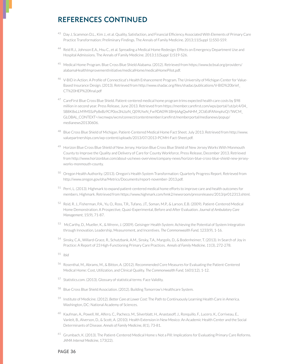# **REFERENCES CONTINUED**

- 43 Day J, Scammon D.L., Kim J., et al. Quality, Satisfaction, and Financial Efficiency Associated With Elements of Primary Care Practice Transformation: Preliminary Findings. The Annals of Family Medicine. 2013;11(Suppl 1):S50-S59.
- 44 Reid R.J., Johnson E.A., Hsu C., et al. Spreading a Medical Home Redesign: Effects on Emergency Department Use and Hospital Admissions. The Annals of Family Medicine. 2013;11(Suppl 1):S19-S26.
- $45\,$ Medical Home Program. Blue Cross Blue Shield Alabama. (2012). Retrieved from https://www.bcbsal.org/providers/ alabamaHealthImprovementInitiative/medicalHome/medicalHomePilot.pdf.
- 46 V-BID in Action: A Profile of Connecticut's Health Enhancement Program. The University of Michigan Center for Value-Based Insurance Design. (2013). Retrieved from http://www.shadac.org/files/shadac/publications/V-BID%20brief CT%20HEP%20final.pdf
- <sup>47</sup> CareFirst Blue Cross Blue Shield. Patient-centered medical home program trims expected health care costs by \$98 million in second year. Press Release, June 2013. Retrieved from https://member.carefirst.com/wps/portal/!ut/p/c4/04 SB8K8xLLM9MSSzPy8xBz9CP0os3hLbzN Q09LYwN Fw9DA09fi1BHj6AgQwNHM 2CbEdFANmphzQ!/?WCM GLOBAL CONTEXT=/wcmwps/wcm/connect/contentmember/carefirst/memberportal/medianews/popup/ medianews20130606.
- Blue Cross Blue Shield of Michigan, Patient-Centered Medical Home Fact Sheet, July 2013, Retrieved from http://www. valuepartnerships.com/wp-content/uploads/2013/07/2013-PCMH-Fact-Sheet.pdf.
- <sup>49</sup> Horizon Blue Cross Blue Shield of New Jersey. Horizon Blue Cross Blue Shield of New Jersey Works With Monmouth County to Improve the Quality and Delivery of Care for County Workforce. Press Release. December 2013. Retrieved from http://www.horizonblue.com/about-us/news-overview/company-news/horizon-blue-cross-blue-shield-new-jerseyworks-monmouth-county.
- <sup>50</sup> Oregon Health Authority. (2013). Oregon's Health System Transformation: Quarterly Progress Report. Retrieved from http://www.oregon.gov/oha/Metrics/Documents/report-november-2013.pdf.
- 51 Perri, L. (2013). Highmark to expand patient-centered medical home efforts to improve care and health outcomes for members. Highmark. Retrieved from https://www.highmark.com/hmk2/newsroom/pressreleases/2013/pr012313.shtml.
- 52 Reid, R. J., Fisherman, P.A., Yu, O., Ross, T.R., Tufano, J.T., Soman, M.P., & Larson, E.B. (2009). Patient-Centered Medical Home Demonstration: A Prospective, Quasi-Experimental, Before and After Evaluation. Journal of Ambulatory Care Management, 15(9), 71-87.
- 53 McCarthy, D., Mueller, K., & Wrenn, J. (2009). Geisinger Health System: Achieving the Potential of System Integration through Innovation, Leadership, Measurement, and Incentives. The Commonwealth Fund, 1233(9), 1-16.
- 54 Sinsky, C.A., Willard-Grace, R., Schutzbank, A.M., Sinsky, T.A., Margolis, D., & Bodenheimer, T. (2013). In Search of Joy in Practice: A Report of 23 High-Functioning Primary Care Practices. Annals of Family Medicine, 11(3), 272-278.
- $55$  Ibid
- 56 Rosenthal, M., Abrams, M., & Bitton, A. (2012). Recommended Core Measures for Evaluating the Patient-Centered Medical Home: Cost, Utilization, and Clinical Quality. The Commonwealth Fund, 1601(12), 1-12.
- <sup>57</sup> Statistics.com. (2013). Glossary of statistical terms: Face Validity.
- Blue Cross Blue Shield Association. (2012). Building Tomorrow's Healthcare System.
- Institute of Medicine. (2012). Better Care at Lower Cost: The Path to Continuously Learning Health Care in America. Washington, DC: National Academy of Sciences.
- <sup>60</sup> Kaufman, A., Powell, W., Alfero, C., Pacheco, M., Silverblatt, H., Anastasoff, J., Ronquillo, F., Lucero, K., Corriveau, E., Vanleit, B., Alverson, D., & Scott, A. (2010). Health Extension in New Mexico: An Academic Health Center and the Social Determinants of Disease, Annals of Family Medicine, 8(1), 73-81.
- <sup>61</sup> Grumbach, K. (2013). The Patient-Centered Medical Home s Not a Pill: Implications for Evaluating Primary Care Reforms. JAMA Internal Medicine, 173(22).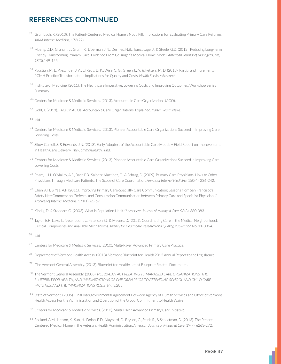# REFERENCES CONTINUED

- 62 Grumbach, K. (2013). The Patient-Centered Medical Home s Not a Pill: Implications for Evaluating Primary Care Reforms. *JAMA Internal Medicine*
- <sup>63</sup> Maeng, D.D., Graham, J., Graf, T.R., Liberman, J.N., Dermes, N.B., Tomcavage, J., & Steele, G.D. (2012). Reducing Long-Term Cost by Transforming Primary Care: Evidence From Geisinger's Medical Home Model. American Journal of Managed Care, *18*
- 64 Paustian, M. L., Alexander, J. A., El Reda, D. K., Wise, C. G., Green, L. A., & Fetters, M. D. (2013). Partial and Incremental PCMH Practice Transformation: Implications for Quality and Costs. Health Services Research.
- <sup>65</sup> Institute of Medicine. (2011). The Healthcare Imperative: Lowering Costs and Improving Outcomes: Workshop Series Summary.
- <sup>66</sup> Centers for Medicare & Medicaid Services. (2013). Accountable Care Organizations (ACO).
- <sup>67</sup> Gold, J. (2013). FAQ On ACOs: Accountable Care Organizations, Explained. Kaiser Health News.
- <sup>68</sup> Ibid
- <sup>69</sup> Centers for Medicare & Medicaid Services. (2013). Pioneer Accountable Care Organizations Succeed in Improving Care, Lowering Costs.
- <sup>70</sup> Silow-Carroll, S. & Edwards, J.N. (2013). Early Adopters of the Accountable Care Model: A Field Report on Improvements in Health Care Delivery. The Commonwealth Fund.
- 71 Centers for Medicare & Medicaid Services. (2013). Pioneer Accountable Care Organizations Succeed in Improving Care, Lowering Costs.
- 72 Pham, H.H., O'Malley, A.S., Bach P.B., Saiontz-Martinez, C., & Schrag, D. (2009). Primary Care Physicians' Links to Other Physicians Through Medicare Patients: The Scope of Care Coordination. Annals of Internal Medicine, 150(4), 236-242.
- 73 Chen, A.H. & Yee, A.F. (2011). Improving Primary Care-Specialty Care Communication: Lessons from San Francisco's Safety Net: Comment on "Referral and Consultation Communication between Primary Care and Specialist Physicians." *Archives of Internal Medicine*
- <sup>74</sup> Kindig, D. & Stoddart, G. (2003). What is Population Health? American Journal of Managed Care, 93(3), 380-383.
- 75 Taylor, E.F., Lake, T., Nysenbaum, J., Peterson, G., & Meyers, D. (2011). Coordinating Care in the Medical Neighborhood: Critical Components and Available Mechanisms. Agency for Healthcare Research and Quality, Publication No. 11-0064.
- *Ibid*
- 77 Centers for Medicare & Medicaid Services. (2010). Multi-Payer Advanced Primary Care Practice.
- $^{78}$  Department of Vermont Health Access. (2013). Vermont Blueprint for Health 2012 Annual Report to the Legislature.
- <sup>79</sup> The Vermont General Assembly. (2013). Blueprint for Health: Latest Blueprint Related Documents.
- 80 The Vermont General Assembly. (2008). NO. 204. AN ACT RELATING TO MANAGED CARE ORGANIZATIONS, THE *BLUEPRINT FOR HEALTH, AND IMMUNIZATIONS OF CHILDREN PRIOR TO ATTENDING SCHOOL AND CHILD CARE*  **FACILITIES, AND THE IMMUNIZATIONS REGISTRY. (S.283).**
- $^{81}$  State of Vermont. (2005). Final Intergovernmental Agreement Between Agency of Human Services and Office of Vermont Health Access For the Administration and Operation of the Global Commitment to Health Waiver.
- 82 Centers for Medicare & Medicaid Services. (2010). Multi-Payer Advanced Primary Care Initiative.
- 83 Rosland, A.M., Nelson, K., Sun, H., Dolan, E.D., Maynard, C., Bryson, C., Stark, R., & Schectman, D. (2013). The Patient-Centered Medical Home in the Veterans Health Administration. American Journal of Managed Care, 19(7), e263-272.